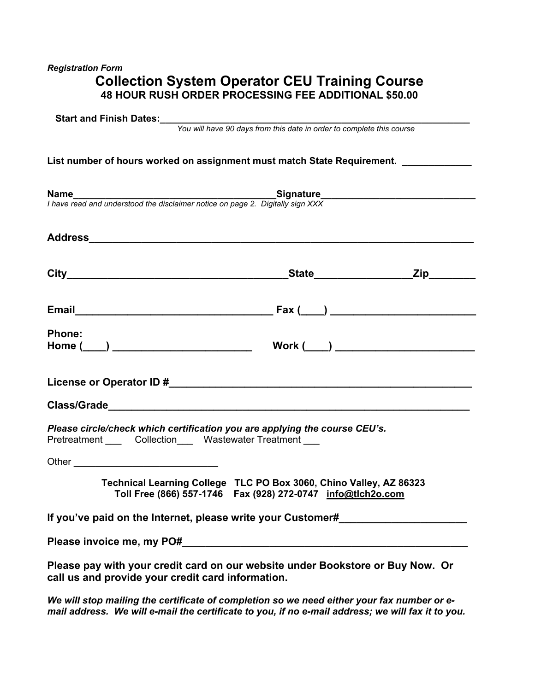# *Registration Form*  **Collection System Operator CEU Training Course 48 HOUR RUSH ORDER PROCESSING FEE ADDITIONAL \$50.00**

|                                                   | <b>Name</b><br>I have read and understood the disclaimer notice on page 2. Digitally sign XXX                                       |  |
|---------------------------------------------------|-------------------------------------------------------------------------------------------------------------------------------------|--|
|                                                   |                                                                                                                                     |  |
|                                                   |                                                                                                                                     |  |
|                                                   |                                                                                                                                     |  |
| Phone:<br>Home (____) ___________________________ | Work $(\_\_)$                                                                                                                       |  |
|                                                   |                                                                                                                                     |  |
|                                                   |                                                                                                                                     |  |
|                                                   | Please circle/check which certification you are applying the course CEU's.<br>Pretreatment Collection Wastewater Treatment          |  |
|                                                   |                                                                                                                                     |  |
|                                                   | Technical Learning College TLC PO Box 3060, Chino Valley, AZ 86323<br>Toll Free (866) 557-1746  Fax (928) 272-0747  info@tlch2o.com |  |
|                                                   |                                                                                                                                     |  |

*We will stop mailing the certificate of completion so we need either your fax number or email address. We will e-mail the certificate to you, if no e-mail address; we will fax it to you.*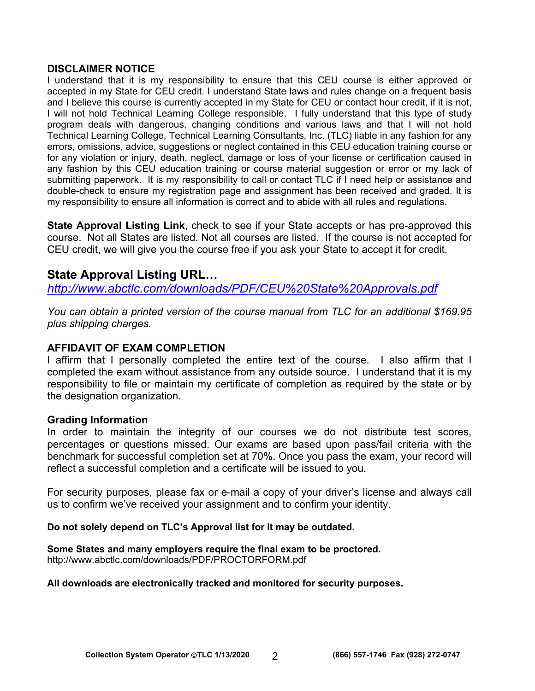#### **DISCLAIMER NOTICE**

I understand that it is my responsibility to ensure that this CEU course is either approved or accepted in my State for CEU credit. I understand State laws and rules change on a frequent basis and I believe this course is currently accepted in my State for CEU or contact hour credit, if it is not, I will not hold Technical Learning College responsible. I fully understand that this type of study program deals with dangerous, changing conditions and various laws and that I will not hold Technical Learning College, Technical Learning Consultants, Inc. (TLC) liable in any fashion for any errors, omissions, advice, suggestions or neglect contained in this CEU education training course or for any violation or injury, death, neglect, damage or loss of your license or certification caused in any fashion by this CEU education training or course material suggestion or error or my lack of submitting paperwork. It is my responsibility to call or contact TLC if I need help or assistance and double-check to ensure my registration page and assignment has been received and graded. It is my responsibility to ensure all information is correct and to abide with all rules and regulations.

**State Approval Listing Link**, check to see if your State accepts or has pre-approved this course. Not all States are listed. Not all courses are listed. If the course is not accepted for CEU credit, we will give you the course free if you ask your State to accept it for credit.

# **State Approval Listing URL…**

*<http://www.abctlc.com/downloads/PDF/CEU%20State%20Approvals.pdf>*

*You can obtain a printed version of the course manual from TLC for an additional \$169.95 plus shipping charges.* 

# **AFFIDAVIT OF EXAM COMPLETION**

I affirm that I personally completed the entire text of the course. I also affirm that I completed the exam without assistance from any outside source. I understand that it is my responsibility to file or maintain my certificate of completion as required by the state or by the designation organization.

# **Grading Information**

In order to maintain the integrity of our courses we do not distribute test scores, percentages or questions missed. Our exams are based upon pass/fail criteria with the benchmark for successful completion set at 70%. Once you pass the exam, your record will reflect a successful completion and a certificate will be issued to you.

For security purposes, please fax or e-mail a copy of your driver's license and always call us to confirm we've received your assignment and to confirm your identity.

#### **Do not solely depend on TLC's Approval list for it may be outdated.**

#### **Some States and many employers require the final exam to be proctored.**

<http://www.abctlc.com/downloads/PDF/PROCTORFORM.pdf>

#### **All downloads are electronically tracked and monitored for security purposes.**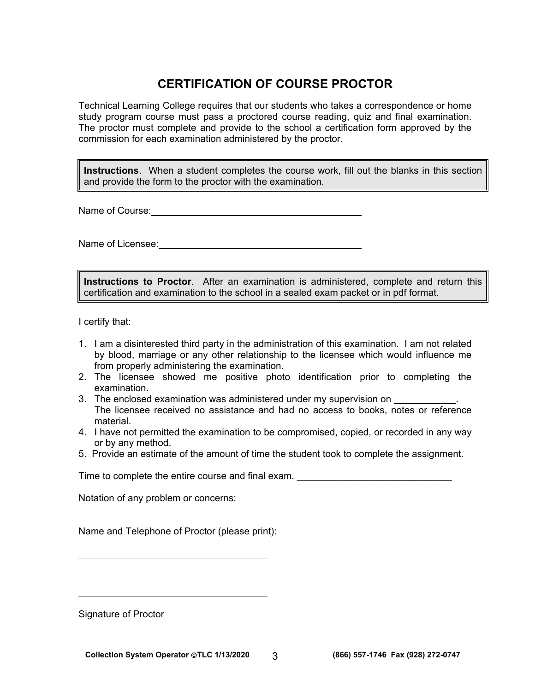# **CERTIFICATION OF COURSE PROCTOR**

Technical Learning College requires that our students who takes a correspondence or home study program course must pass a proctored course reading, quiz and final examination. The proctor must complete and provide to the school a certification form approved by the commission for each examination administered by the proctor.

**Instructions**. When a student completes the course work, fill out the blanks in this section and provide the form to the proctor with the examination.

Name of Course: Manual Course: Name of Course: Name of Course: Name of Course: Name of Course: Name of Course: N

Name of Licensee:<br>
Second the second state of Licensee:

**Instructions to Proctor**. After an examination is administered, complete and return this certification and examination to the school in a sealed exam packet or in pdf format.

I certify that:

- 1. I am a disinterested third party in the administration of this examination. I am not related by blood, marriage or any other relationship to the licensee which would influence me from properly administering the examination.
- 2. The licensee showed me positive photo identification prior to completing the examination.
- 3. The enclosed examination was administered under my supervision on The licensee received no assistance and had no access to books, notes or reference material.
- 4. I have not permitted the examination to be compromised, copied, or recorded in any way or by any method.
- 5. Provide an estimate of the amount of time the student took to complete the assignment.

Time to complete the entire course and final exam.

Notation of any problem or concerns:

Name and Telephone of Proctor (please print):

Signature of Proctor

 $\overline{a}$ 

 $\overline{a}$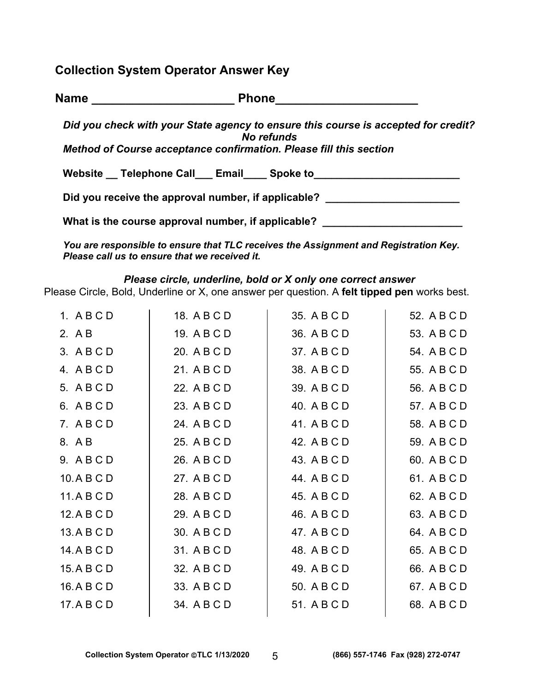**Collection System Operator Answer Key** 

| <b>Name</b> | <b>Phone</b>                                                                                     |
|-------------|--------------------------------------------------------------------------------------------------|
|             | Did you check with your State agency to ensure this course is accepted for credit?<br>No refunds |
|             | Method of Course acceptance confirmation. Please fill this section                               |
|             | Website Telephone Call Email Spoke to                                                            |
|             | Did you receive the approval number, if applicable?                                              |
|             | What is the course approval number, if applicable?                                               |

*You are responsible to ensure that TLC receives the Assignment and Registration Key. Please call us to ensure that we received it.* 

# *Please circle, underline, bold or X only one correct answer*

Please Circle, Bold, Underline or X, one answer per question. A **felt tipped pen** works best.

| 1. ABCD     | 18. A B C D | 35. A B C D | 52. A B C D |
|-------------|-------------|-------------|-------------|
| 2. A B      | 19. A B C D | 36. A B C D | 53. A B C D |
| 3. A B C D  | 20. A B C D | 37. A B C D | 54. A B C D |
| 4. ABCD     | 21. A B C D | 38. A B C D | 55. A B C D |
| 5. ABCD     | 22. A B C D | 39. A B C D | 56. A B C D |
| 6. ABCD     | 23. A B C D | 40. A B C D | 57. A B C D |
| 7. ABCD     | 24. A B C D | 41. A B C D | 58. A B C D |
| 8. AB       | 25. A B C D | 42. A B C D | 59. A B C D |
| 9. ABCD     | 26. A B C D | 43. A B C D | 60. A B C D |
| 10. A B C D | 27. A B C D | 44. A B C D | 61. A B C D |
| 11.ABCD     | 28. A B C D | 45. A B C D | 62. A B C D |
| 12. A B C D | 29. A B C D | 46. A B C D | 63. A B C D |
| 13. A B C D | 30. A B C D | 47. A B C D | 64. A B C D |
| 14. A B C D | 31. A B C D | 48. A B C D | 65. A B C D |
| 15. A B C D | 32. A B C D | 49. A B C D | 66. A B C D |
| 16.ABCD     | 33. A B C D | 50. A B C D | 67. A B C D |
| 17. A B C D | 34. A B C D | 51. A B C D | 68. A B C D |
|             |             |             |             |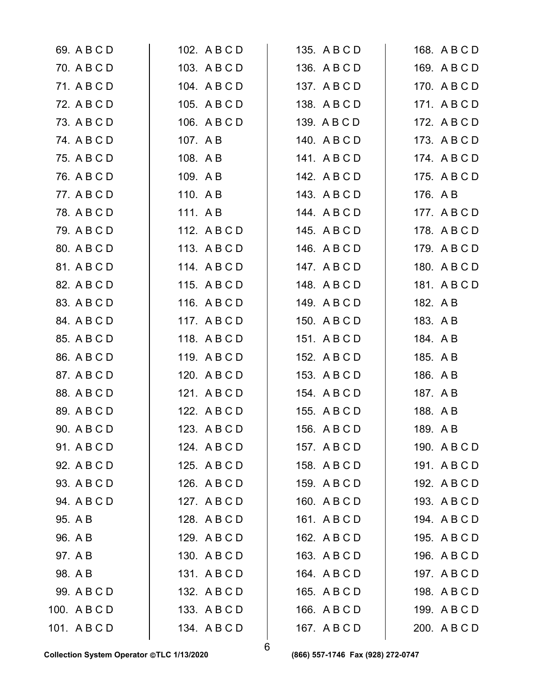| 69. A B C D  | 102. A B C D | 135. A B C D | 168. A B C D |
|--------------|--------------|--------------|--------------|
| 70. A B C D  | 103. A B C D | 136. A B C D | 169. A B C D |
| 71. A B C D  | 104. A B C D | 137. A B C D | 170. A B C D |
| 72. A B C D  | 105. A B C D | 138. A B C D | 171. ABCD    |
| 73. A B C D  | 106. A B C D | 139. A B C D | 172. A B C D |
| 74. A B C D  | 107. A B     | 140. ABCD    | 173. A B C D |
| 75. A B C D  | 108. A B     | 141. ABCD    | 174. A B C D |
| 76. A B C D  | 109. AB      | 142. A B C D | 175. A B C D |
| 77. A B C D  | 110. AB      | 143. A B C D | 176. A B     |
| 78. A B C D  | 111. AB      | 144. ABCD    | 177. A B C D |
| 79. A B C D  | 112. ABCD    | 145. A B C D | 178. A B C D |
| 80. A B C D  | 113. ABCD    | 146. A B C D | 179. A B C D |
| 81. A B C D  | 114. ABCD    | 147. ABCD    | 180. A B C D |
| 82. A B C D  | 115. ABCD    | 148. ABCD    | 181. A B C D |
| 83. A B C D  | 116. ABCD    | 149. ABCD    | 182. A B     |
| 84. A B C D  | 117. ABCD    | 150. A B C D | 183. A B     |
| 85. A B C D  | 118. ABCD    | 151. ABCD    | 184. A B     |
| 86. A B C D  | 119. ABCD    | 152. A B C D | 185. A B     |
| 87. A B C D  | 120. A B C D | 153. A B C D | 186. A B     |
| 88. A B C D  | 121. ABCD    | 154. A B C D | 187. AB      |
| 89. A B C D  | 122. A B C D | 155. A B C D | 188. A B     |
| 90. A B C D  | 123. A B C D | 156. A B C D | 189. A B     |
| 91. A B C D  | 124. A B C D | 157. A B C D | 190. A B C D |
| 92. A B C D  | 125. A B C D | 158. A B C D | 191. ABCD    |
| 93. A B C D  | 126. A B C D | 159. A B C D | 192. A B C D |
| 94. A B C D  | 127. A B C D | 160. A B C D | 193. A B C D |
| 95. A B      | 128. A B C D | 161. ABCD    | 194. A B C D |
| 96. A B      | 129. ABCD    | 162. A B C D | 195. A B C D |
| 97. A B      | 130. A B C D | 163. A B C D | 196. A B C D |
| 98. A B      | 131. ABCD    | 164. A B C D | 197. A B C D |
| 99. A B C D  | 132. A B C D | 165. A B C D | 198. A B C D |
| 100. A B C D | 133. A B C D | 166. A B C D | 199. A B C D |
| 101. ABCD    | 134. ABCD    | 167. A B C D | 200. A B C D |
|              |              |              |              |

6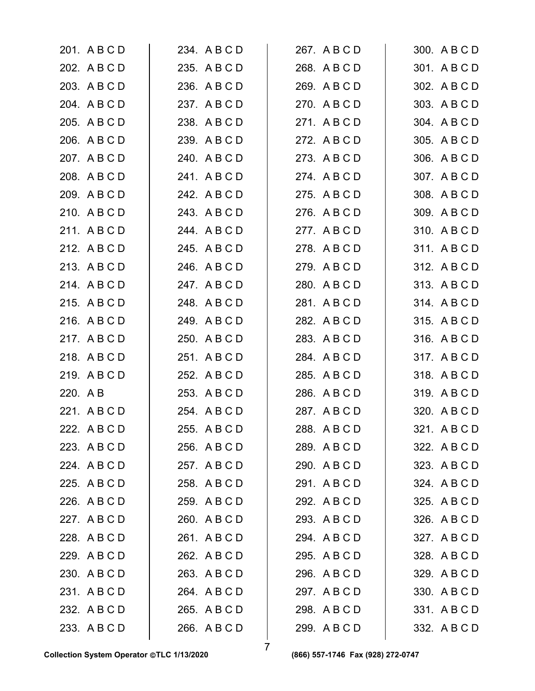| 201. A B C D | 234. A B C D | 267. A B C D | 300. A B C D |
|--------------|--------------|--------------|--------------|
| 202. A B C D | 235. A B C D | 268. A B C D | 301. A B C D |
| 203. A B C D | 236. A B C D | 269. A B C D | 302. A B C D |
| 204. A B C D | 237. A B C D | 270. A B C D | 303. A B C D |
| 205. A B C D | 238. A B C D | 271. ABCD    | 304. A B C D |
| 206. A B C D | 239. A B C D | 272. A B C D | 305. A B C D |
| 207. A B C D | 240. A B C D | 273. A B C D | 306. A B C D |
| 208. A B C D | 241. ABCD    | 274. ABCD    | 307. ABCD    |
| 209. A B C D | 242. A B C D | 275. A B C D | 308. A B C D |
| 210. A B C D | 243. A B C D | 276. A B C D | 309. A B C D |
| 211. ABCD    | 244. A B C D | 277. ABCD    | 310. A B C D |
| 212. A B C D | 245. A B C D | 278. ABCD    | 311. ABCD    |
| 213. ABCD    | 246. A B C D | 279. ABCD    | 312. A B C D |
| 214. ABCD    | 247. A B C D | 280. A B C D | 313. A B C D |
| 215. A B C D | 248. A B C D | 281. A B C D | 314. ABCD    |
| 216. A B C D | 249. A B C D | 282. A B C D | 315. ABCD    |
| 217. ABCD    | 250. A B C D | 283. A B C D | 316. ABCD    |
| 218. ABCD    | 251. ABCD    | 284. A B C D | 317. ABCD    |
| 219. ABCD    | 252. A B C D | 285. A B C D | 318. ABCD    |
| 220. A B     | 253. A B C D | 286. A B C D | 319. ABCD    |
| 221. A B C D | 254. A B C D | 287. A B C D | 320. A B C D |
| 222. A B C D | 255. A B C D | 288. A B C D | 321. A B C D |
| 223. A B C D | 256. A B C D | 289. A B C D | 322. A B C D |
| 224. A B C D | 257. A B C D | 290. ABCD    | 323. A B C D |
| 225. A B C D | 258. A B C D | 291. ABCD    | 324. A B C D |
| 226. A B C D | 259. A B C D | 292. A B C D | 325. A B C D |
| 227. A B C D | 260. A B C D | 293. A B C D | 326. A B C D |
| 228. A B C D | 261. A B C D | 294. A B C D | 327. A B C D |
| 229. A B C D | 262. A B C D | 295. A B C D | 328. A B C D |
| 230. A B C D | 263. A B C D | 296. A B C D | 329. A B C D |
| 231. A B C D | 264. A B C D | 297. A B C D | 330. A B C D |
| 232. A B C D | 265. A B C D | 298. A B C D | 331. A B C D |
| 233. A B C D | 266. A B C D | 299. A B C D | 332. A B C D |
|              |              |              |              |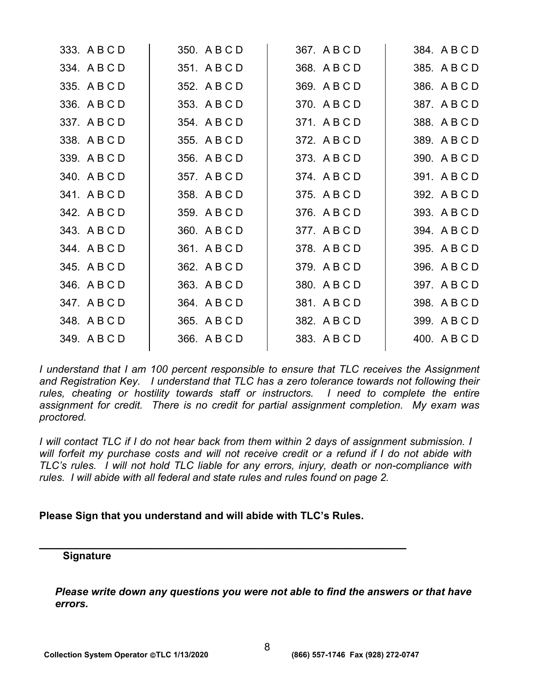| 333. A B C D | 350. A B C D | 367. A B C D | 384. A B C D |
|--------------|--------------|--------------|--------------|
| 334. A B C D | 351. A B C D | 368. A B C D | 385. A B C D |
| 335. A B C D | 352. A B C D | 369. A B C D | 386. A B C D |
| 336. A B C D | 353. A B C D | 370. A B C D | 387. A B C D |
| 337. A B C D | 354. A B C D | 371. A B C D | 388. A B C D |
| 338. A B C D | 355. A B C D | 372. A B C D | 389. A B C D |
| 339. A B C D | 356. A B C D | 373. A B C D | 390. A B C D |
| 340. A B C D | 357. A B C D | 374. A B C D | 391. A B C D |
| 341. ABCD    | 358. A B C D | 375. A B C D | 392. A B C D |
| 342. A B C D | 359. A B C D | 376. A B C D | 393. A B C D |
| 343. A B C D | 360. A B C D | 377. ABCD    | 394. A B C D |
| 344. ABCD    | 361. A B C D | 378. ABCD    | 395. A B C D |
| 345. A B C D | 362. A B C D | 379. ABCD    | 396. A B C D |
| 346. A B C D | 363. A B C D | 380. A B C D | 397. A B C D |
| 347. A B C D | 364. A B C D | 381. A B C D | 398. A B C D |
| 348. A B C D | 365. A B C D | 382. A B C D | 399. A B C D |
| 349. A B C D | 366. A B C D | 383. A B C D | 400. A B C D |
|              |              |              |              |

*I* understand that I am 100 percent responsible to ensure that TLC receives the Assignment *and Registration Key. I understand that TLC has a zero tolerance towards not following their*  rules, cheating or hostility towards staff or instructors. I need to complete the entire *assignment for credit. There is no credit for partial assignment completion. My exam was proctored.* 

*I* will contact TLC if I do not hear back from them within 2 days of assignment submission. I *will forfeit my purchase costs and will not receive credit or a refund if I do not abide with TLC's rules. I will not hold TLC liable for any errors, injury, death or non-compliance with rules. I will abide with all federal and state rules and rules found on page 2.* 

# **Please Sign that you understand and will abide with TLC's Rules.**

**\_\_\_\_\_\_\_\_\_\_\_\_\_\_\_\_\_\_\_\_\_\_\_\_\_\_\_\_\_\_\_\_\_\_\_\_\_\_\_\_\_\_\_\_\_\_\_\_\_\_\_\_\_\_** 

# **Signature**

*Please write down any questions you were not able to find the answers or that have errors.*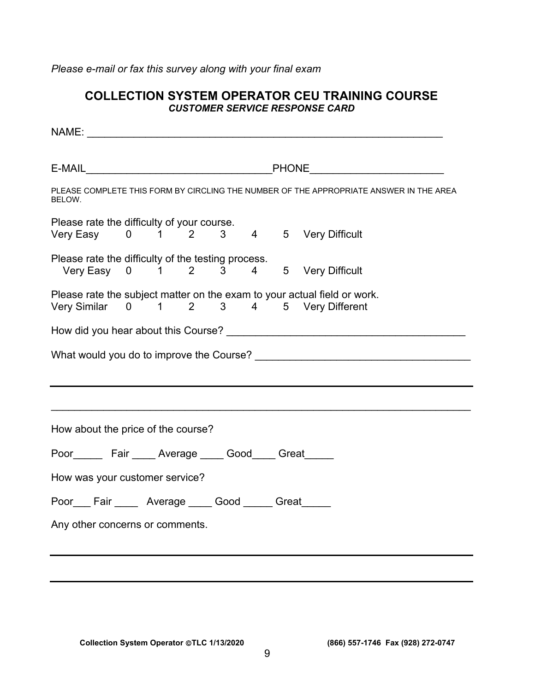*Please e-mail or fax this survey along with your final exam* 

# **COLLECTION SYSTEM OPERATOR CEU TRAINING COURSE**  *CUSTOMER SERVICE RESPONSE CARD*

| PLEASE COMPLETE THIS FORM BY CIRCLING THE NUMBER OF THE APPROPRIATE ANSWER IN THE AREA<br>BELOW. |  |  |  |  |  |  |                                                                                                                     |  |
|--------------------------------------------------------------------------------------------------|--|--|--|--|--|--|---------------------------------------------------------------------------------------------------------------------|--|
| Please rate the difficulty of your course.<br>Very Easy 0 1 2 3 4 5 Very Difficult               |  |  |  |  |  |  |                                                                                                                     |  |
| Please rate the difficulty of the testing process.<br>Very Easy 0 1 2 3 4 5 Very Difficult       |  |  |  |  |  |  |                                                                                                                     |  |
|                                                                                                  |  |  |  |  |  |  | Please rate the subject matter on the exam to your actual field or work.<br>Very Similar 0 1 2 3 4 5 Very Different |  |
|                                                                                                  |  |  |  |  |  |  |                                                                                                                     |  |
|                                                                                                  |  |  |  |  |  |  |                                                                                                                     |  |
|                                                                                                  |  |  |  |  |  |  |                                                                                                                     |  |
|                                                                                                  |  |  |  |  |  |  |                                                                                                                     |  |
| How about the price of the course?                                                               |  |  |  |  |  |  |                                                                                                                     |  |
| Poor________ Fair _____ Average _____ Good_____ Great______                                      |  |  |  |  |  |  |                                                                                                                     |  |
| How was your customer service?                                                                   |  |  |  |  |  |  |                                                                                                                     |  |
| Poor___Fair _____ Average _____Good ______Great_____                                             |  |  |  |  |  |  |                                                                                                                     |  |
| Any other concerns or comments.                                                                  |  |  |  |  |  |  |                                                                                                                     |  |

**Collection System Operator TLC 1/13/2020 (866) 557-1746 Fax (928) 272-0747**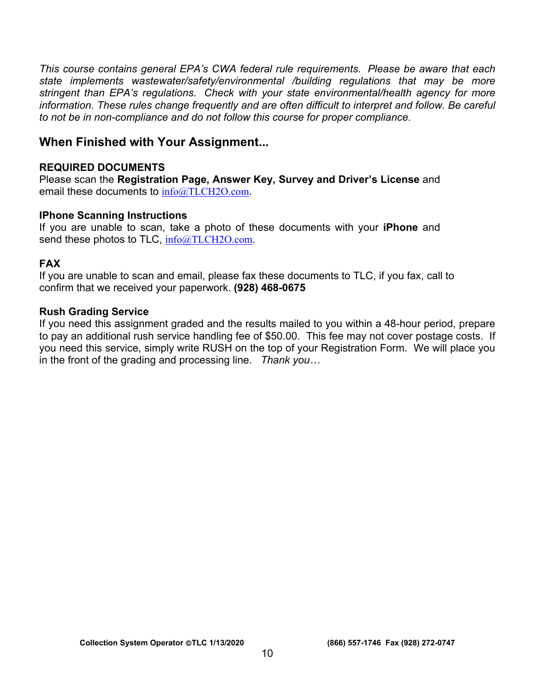*This course contains general EPA's CWA federal rule requirements. Please be aware that each state implements wastewater/safety/environmental /building regulations that may be more stringent than EPA's regulations. Check with your state environmental/health agency for more information. These rules change frequently and are often difficult to interpret and follow. Be careful to not be in non-compliance and do not follow this course for proper compliance.* 

# **When Finished with Your Assignment...**

# **REQUIRED DOCUMENTS**

Please scan the **Registration Page, Answer Key, Survey and Driver's License** and email these documents to  $info@TLCH2O.com$ .

# **IPhone Scanning Instructions**

If you are unable to scan, take a photo of these documents with your **iPhone** and send these photos to TLC, [info@TLCH2O.com](mailto:info@TLCH2O.com).

# **FAX**

If you are unable to scan and email, please fax these documents to TLC, if you fax, call to confirm that we received your paperwork. **(928) 468-0675** 

# **Rush Grading Service**

If you need this assignment graded and the results mailed to you within a 48-hour period, prepare to pay an additional rush service handling fee of \$50.00. This fee may not cover postage costs. If you need this service, simply write RUSH on the top of your Registration Form. We will place you in the front of the grading and processing line. *Thank you…*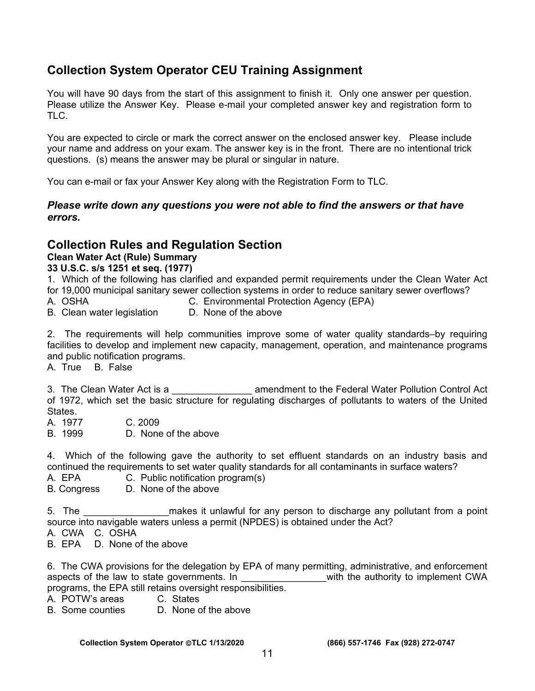# **Collection System Operator CEU Training Assignment**

You will have 90 days from the start of this assignment to finish it. Only one answer per question. Please utilize the Answer Key. Please e-mail your completed answer key and registration form to TLC.

You are expected to circle or mark the correct answer on the enclosed answer key. Please include your name and address on your exam. The answer key is in the front. There are no intentional trick questions. (s) means the answer may be plural or singular in nature.

You can e-mail or fax your Answer Key along with the Registration Form to TLC.

# *Please write down any questions you were not able to find the answers or that have errors.*

# **Collection Rules and Regulation Section**

# **Clean Water Act (Rule) Summary**

#### **33 U.S.C. s/s 1251 et seq. (1977)**

- 1. Which of the following has clarified and expanded permit requirements under the Clean Water Act for 19,000 municipal sanitary sewer collection systems in order to reduce sanitary sewer overflows?
- A. OSHA C. Environmental Protection Agency (EPA)<br>B. Clean water legislation D. None of the above
- B. Clean water legislation

2. The requirements will help communities improve some of water quality standards–by requiring facilities to develop and implement new capacity, management, operation, and maintenance programs and public notification programs.

A. True B. False

3. The Clean Water Act is a **Exercise 20** amendment to the Federal Water Pollution Control Act of 1972, which set the basic structure for regulating discharges of pollutants to waters of the United States.

- A. 1977 C. 2009
- B. 1999 D. None of the above

4. Which of the following gave the authority to set effluent standards on an industry basis and continued the requirements to set water quality standards for all contaminants in surface waters?

- A. EPA C. Public notification program(s)
- B. Congress D. None of the above

5. The the same makes it unlawful for any person to discharge any pollutant from a point source into navigable waters unless a permit (NPDES) is obtained under the Act?

A. CWA C. OSHA

B. EPA D. None of the above

6. The CWA provisions for the delegation by EPA of many permitting, administrative, and enforcement aspects of the law to state governments. In \_\_\_\_\_\_\_\_\_\_\_\_\_\_\_\_with the authority to implement CWA programs, the EPA still retains oversight responsibilities.

- A. POTW's areas C. States
- 

B. Some counties D. None of the above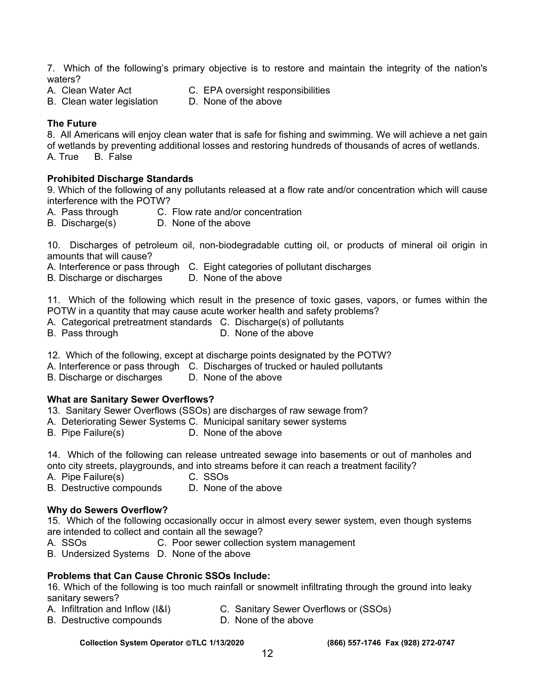7. Which of the following's primary objective is to restore and maintain the integrity of the nation's waters?

B. Clean water legislation

A. Clean Water Act **C. EPA oversight responsibilities**<br>
B. Clean water legislation **C.** None of the above

#### **The Future**

8. All Americans will enjoy clean water that is safe for fishing and swimming. We will achieve a net gain of wetlands by preventing additional losses and restoring hundreds of thousands of acres of wetlands.

A. True B. False

#### **Prohibited Discharge Standards**

9. Which of the following of any pollutants released at a flow rate and/or concentration which will cause interference with the POTW?

- A. Pass through C. Flow rate and/or concentration
- B. Discharge(s) D. None of the above

10. Discharges of petroleum oil, non-biodegradable cutting oil, or products of mineral oil origin in amounts that will cause?

A. Interference or pass through C. Eight categories of pollutant discharges

B. Discharge or discharges D. None of the above

11. Which of the following which result in the presence of toxic gases, vapors, or fumes within the POTW in a quantity that may cause acute worker health and safety problems?

- A. Categorical pretreatment standards C. Discharge(s) of pollutants
- B. Pass through D. None of the above
- 12. Which of the following, except at discharge points designated by the POTW?
- A. Interference or pass through C. Discharges of trucked or hauled pollutants<br>B. Discharge or discharges D. None of the above
- B. Discharge or discharges

#### **What are Sanitary Sewer Overflows?**

- 13. Sanitary Sewer Overflows (SSOs) are discharges of raw sewage from?
- A. Deteriorating Sewer Systems C. Municipal sanitary sewer systems
- B. Pipe Failure(s) D. None of the above

14. Which of the following can release untreated sewage into basements or out of manholes and onto city streets, playgrounds, and into streams before it can reach a treatment facility?

- A. Pipe Failure(s) C. SSOs
- B. Destructive compounds D. None of the above

# **Why do Sewers Overflow?**

15. Which of the following occasionally occur in almost every sewer system, even though systems are intended to collect and contain all the sewage?

- A. SSOs **C. Poor sewer collection system management**
- B. Undersized Systems D. None of the above

# **Problems that Can Cause Chronic SSOs Include:**

16. Which of the following is too much rainfall or snowmelt infiltrating through the ground into leaky sanitary sewers?

- A. Infiltration and Inflow (I&I) C. Sanitary Sewer Overflows or (SSOs)
	-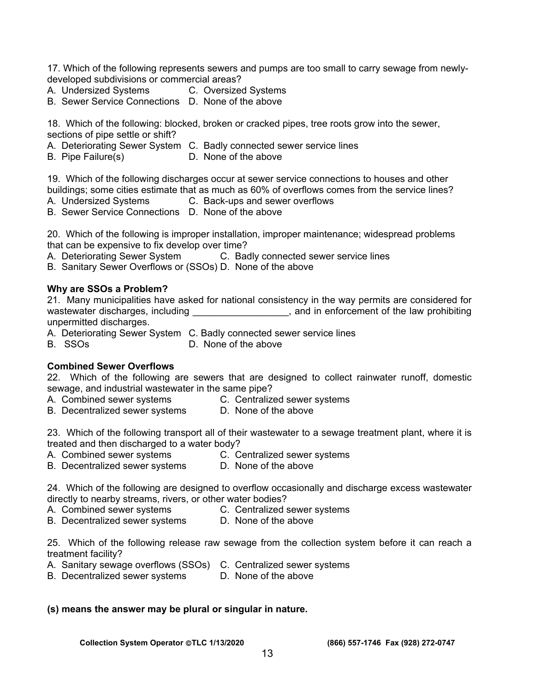17. Which of the following represents sewers and pumps are too small to carry sewage from newlydeveloped subdivisions or commercial areas?

- A. Undersized Systems C. Oversized Systems
- B. Sewer Service Connections D. None of the above

18. Which of the following: blocked, broken or cracked pipes, tree roots grow into the sewer, sections of pipe settle or shift?

- A. Deteriorating Sewer System C. Badly connected sewer service lines
- B. Pipe Failure(s) D. None of the above

19. Which of the following discharges occur at sewer service connections to houses and other buildings; some cities estimate that as much as 60% of overflows comes from the service lines?

- A. Undersized Systems C. Back-ups and sewer overflows
- B. Sewer Service Connections D. None of the above

20. Which of the following is improper installation, improper maintenance; widespread problems that can be expensive to fix develop over time?

A. Deteriorating Sewer System C. Badly connected sewer service lines

B. Sanitary Sewer Overflows or (SSOs) D. None of the above

#### **Why are SSOs a Problem?**

21. Many municipalities have asked for national consistency in the way permits are considered for wastewater discharges, including \_\_\_\_\_\_\_\_\_\_\_\_\_\_\_\_\_\_\_, and in enforcement of the law prohibiting unpermitted discharges.

- A. Deteriorating Sewer System C. Badly connected sewer service lines
- B. SSOs D. None of the above

#### **Combined Sewer Overflows**

22. Which of the following are sewers that are designed to collect rainwater runoff, domestic sewage, and industrial wastewater in the same pipe?

- A. Combined sewer systems **C. Centralized sewer systems**
- B. Decentralized sewer systems D. None of the above

23. Which of the following transport all of their wastewater to a sewage treatment plant, where it is treated and then discharged to a water body?

- 
- A. Combined sewer systems **C. Centralized sewer systems**
- B. Decentralized sewer systems D. None of the above

24. Which of the following are designed to overflow occasionally and discharge excess wastewater directly to nearby streams, rivers, or other water bodies?

- 
- A. Combined sewer systems **C. Centralized sewer systems**
- B. Decentralized sewer systems D. None of the above

25. Which of the following release raw sewage from the collection system before it can reach a treatment facility?

- A. Sanitary sewage overflows (SSOs) C. Centralized sewer systems
- B. Decentralized sewer systems D. None of the above

#### **(s) means the answer may be plural or singular in nature.**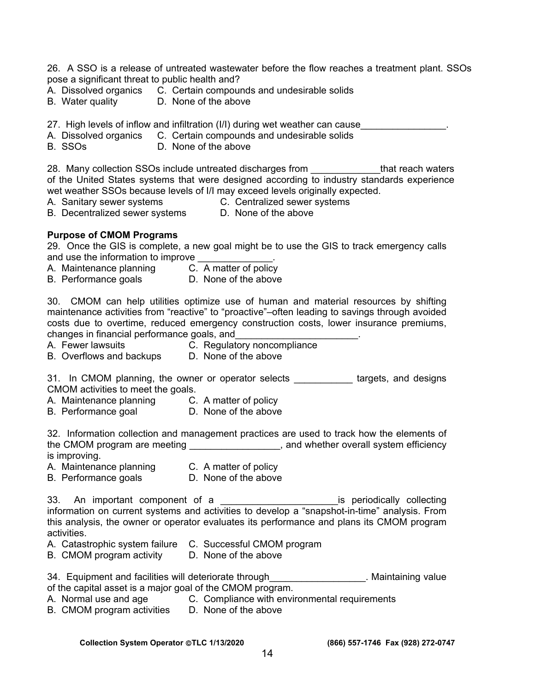26. A SSO is a release of untreated wastewater before the flow reaches a treatment plant. SSOs pose a significant threat to public health and?

- A. Dissolved organics C. Certain compounds and undesirable solids
- B. Water quality D. None of the above

27. High levels of inflow and infiltration (I/I) during wet weather can cause

- A. Dissolved organics C. Certain compounds and undesirable solids
- B. SSOs D. None of the above

28. Many collection SSOs include untreated discharges from that reach waters of the United States systems that were designed according to industry standards experience wet weather SSOs because levels of I/I may exceed levels originally expected.

A. Sanitary sewer systems **C. Centralized sewer systems** 

B. Decentralized sewer systems D. None of the above

#### **Purpose of CMOM Programs**

29. Once the GIS is complete, a new goal might be to use the GIS to track emergency calls and use the information to improve

- A. Maintenance planning C. A matter of policy
- B. Performance goals **D. None of the above**

30. CMOM can help utilities optimize use of human and material resources by shifting maintenance activities from "reactive" to "proactive"–often leading to savings through avoided costs due to overtime, reduced emergency construction costs, lower insurance premiums, changes in financial performance goals, and\_\_\_\_\_\_\_\_\_\_\_\_\_\_\_\_\_\_\_\_\_\_\_.

- A. Fewer lawsuits C. Regulatory noncompliance
- B. Overflows and backups D. None of the above

31. In CMOM planning, the owner or operator selects \_\_\_\_\_\_\_\_\_\_\_ targets, and designs CMOM activities to meet the goals.

- A. Maintenance planning C. A matter of policy
- B. Performance goal **D.** None of the above

32. Information collection and management practices are used to track how the elements of the CMOM program are meeting \_\_\_\_\_\_\_\_\_\_\_\_\_\_\_\_\_, and whether overall system efficiency is improving.

- A. Maintenance planning C. A matter of policy
	-
- B. Performance goals **D.** None of the above

33. An important component of a \_\_\_\_\_\_\_\_\_\_\_\_\_\_\_\_\_\_\_\_\_\_\_\_\_\_is periodically collecting information on current systems and activities to develop a "snapshot-in-time" analysis. From this analysis, the owner or operator evaluates its performance and plans its CMOM program activities.

- A. Catastrophic system failure C. Successful CMOM program
- B. CMOM program activity D. None of the above

34. Equipment and facilities will deteriorate through Theorem 2013. Maintaining value of the capital asset is a major goal of the CMOM program.

- A. Normal use and age **C. Compliance with environmental requirements**
- B. CMOM program activities D. None of the above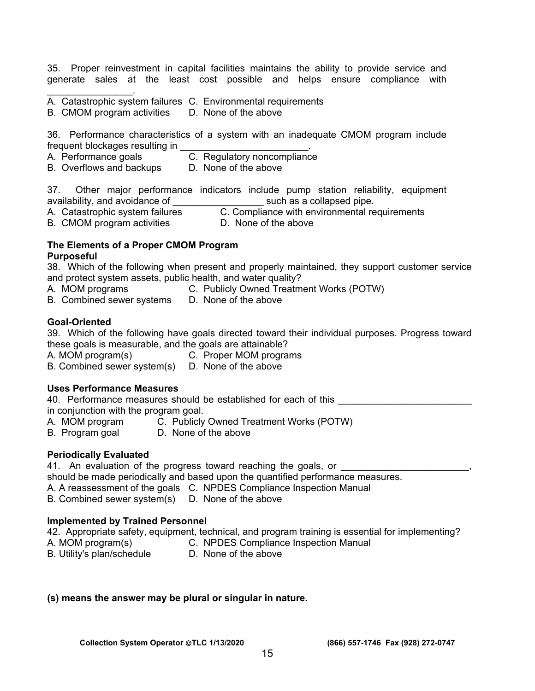35. Proper reinvestment in capital facilities maintains the ability to provide service and generate sales at the least cost possible and helps ensure compliance with

- A. Catastrophic system failures C. Environmental requirements
- B. CMOM program activities D. None of the above

36. Performance characteristics of a system with an inadequate CMOM program include frequent blockages resulting in \_\_\_\_\_\_\_\_\_\_\_\_\_\_\_\_\_\_\_\_\_\_\_\_.

- A. Performance goals **C. Regulatory noncompliance**
- B. Overflows and backups D. None of the above

37. Other major performance indicators include pump station reliability, equipment availability, and avoidance of **Exercise 20** such as a collapsed pipe.

A. Catastrophic system failures **C. Compliance with environmental requirements** 

B. CMOM program activities **D. None of the above** 

#### **The Elements of a Proper CMOM Program Purposeful**

38. Which of the following when present and properly maintained, they support customer service and protect system assets, public health, and water quality?

A. MOM programs **C. Publicly Owned Treatment Works (POTW)** 

 $\mathcal{L}_\text{max}$  . The set of the set of the set of the set of the set of the set of the set of the set of the set of the set of the set of the set of the set of the set of the set of the set of the set of the set of the set

B. Combined sewer systems D. None of the above

#### **Goal-Oriented**

39. Which of the following have goals directed toward their individual purposes. Progress toward

- these goals is measurable, and the goals are attainable?<br>A. MOM program(s) C. Proper MOM progra C. Proper MOM programs
- B. Combined sewer system(s) D. None of the above

#### **Uses Performance Measures**

40. Performance measures should be established for each of this in conjunction with the program goal.

- A. MOM program C. Publicly Owned Treatment Works (POTW)<br>B. Program goal D. None of the above
- D. None of the above

#### **Periodically Evaluated**

41. An evaluation of the progress toward reaching the goals, or

should be made periodically and based upon the quantified performance measures.

A. A reassessment of the goals C. NPDES Compliance Inspection Manual

B. Combined sewer system(s) D. None of the above

#### **Implemented by Trained Personnel**

42. Appropriate safety, equipment, technical, and program training is essential for implementing? A. MOM program(s) C. NPDES Compliance Inspection Manual

B. Utility's plan/schedule D. None of the above

#### **(s) means the answer may be plural or singular in nature.**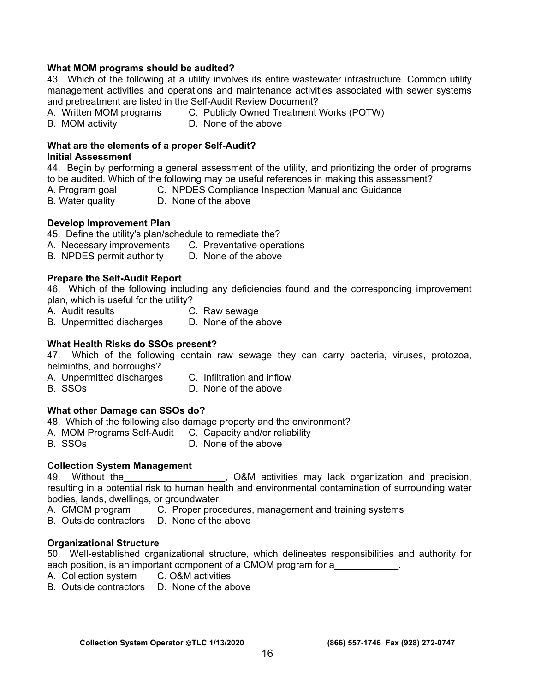#### **What MOM programs should be audited?**

43. Which of the following at a utility involves its entire wastewater infrastructure. Common utility management activities and operations and maintenance activities associated with sewer systems and pretreatment are listed in the Self-Audit Review Document?

- A. Written MOM programs C. Publicly Owned Treatment Works (POTW)
- 
- B. MOM activity **D. None of the above**

### **What are the elements of a proper Self-Audit?**

#### **Initial Assessment**

44. Begin by performing a general assessment of the utility, and prioritizing the order of programs to be audited. Which of the following may be useful references in making this assessment?

- A. Program goal C. NPDES Compliance Inspection Manual and Guidance
- B. Water quality D. None of the above

#### **Develop Improvement Plan**

45. Define the utility's plan/schedule to remediate the?

- A. Necessary improvements C. Preventative operations
- B. NPDES permit authority D. None of the above

#### **Prepare the Self-Audit Report**

46. Which of the following including any deficiencies found and the corresponding improvement plan, which is useful for the utility?

- A. Audit results C. Raw sewage
- B. Unpermitted discharges D. None of the above

#### **What Health Risks do SSOs present?**

47. Which of the following contain raw sewage they can carry bacteria, viruses, protozoa, helminths, and borroughs?

- A. Unpermitted discharges C. Infiltration and inflow
- 
- B. SSOs D. None of the above

#### **What other Damage can SSOs do?**

48. Which of the following also damage property and the environment?

- A. MOM Programs Self-Audit C. Capacity and/or reliability
- B. SSOs D. None of the above

#### **Collection System Management**

49. Without the The Latter the Mactivities may lack organization and precision, resulting in a potential risk to human health and environmental contamination of surrounding water bodies, lands, dwellings, or groundwater.

- A. CMOM program C. Proper procedures, management and training systems
- B. Outside contractors D. None of the above

#### **Organizational Structure**

50. Well-established organizational structure, which delineates responsibilities and authority for each position, is an important component of a CMOM program for a

- A. Collection system C. O&M activities
- B. Outside contractors D. None of the above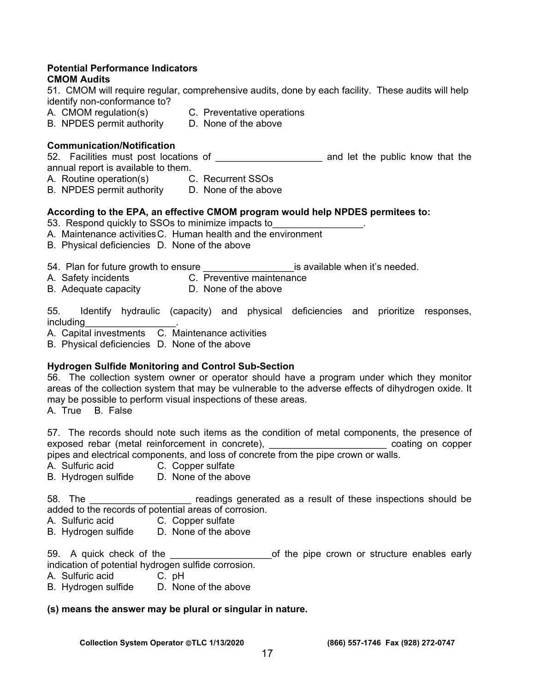#### **Potential Performance Indicators CMOM Audits**

51. CMOM will require regular, comprehensive audits, done by each facility. These audits will help identify non-conformance to?

- A. CMOM regulation(s) C. Preventative operations
- B. NPDES permit authority D. None of the above

#### **Communication/Notification**

52. Facilities must post locations of \_\_\_\_\_\_\_\_\_\_\_\_\_\_\_\_\_\_\_\_ and let the public know that the annual report is available to them.

- A. Routine operation(s) C. Recurrent SSOs
- B. NPDES permit authority D. None of the above

#### **According to the EPA, an effective CMOM program would help NPDES permitees to:**

- 53. Respond quickly to SSOs to minimize impacts to
- A. Maintenance activities C. Human health and the environment
- B. Physical deficiencies D. None of the above
- 54. Plan for future growth to ensure \_\_\_\_\_\_\_\_\_\_\_\_\_\_\_\_\_is available when it's needed.
- A. Safety incidents C. Preventive maintenance
	-
- B. Adequate capacity D. None of the above

55. Identify hydraulic (capacity) and physical deficiencies and prioritize responses, including\_\_\_\_\_\_\_\_\_\_\_\_\_\_\_\_\_.

A. Capital investments C. Maintenance activities

B. Physical deficiencies D. None of the above

#### **Hydrogen Sulfide Monitoring and Control Sub-Section**

56. The collection system owner or operator should have a program under which they monitor areas of the collection system that may be vulnerable to the adverse effects of dihydrogen oxide. It may be possible to perform visual inspections of these areas.

A. True B. False

57. The records should note such items as the condition of metal components, the presence of exposed rebar (metal reinforcement in concrete), \_\_\_\_\_\_\_\_\_\_\_\_\_\_\_\_\_\_\_\_\_\_ coating on copper pipes and electrical components, and loss of concrete from the pipe crown or walls.

- A. Sulfuric acid C. Copper sulfate
- B. Hydrogen sulfide D. None of the above

58. The **Example 20** readings generated as a result of these inspections should be added to the records of potential areas of corrosion.

- A. Sulfuric acid C. Copper sulfate
- B. Hydrogen sulfide D. None of the above

59. A quick check of the **EXACC CONCOCOL** of the pipe crown or structure enables early indication of potential hydrogen sulfide corrosion.

- A. Sulfuric acid C. pH
- B. Hydrogen sulfide D. None of the above

#### **(s) means the answer may be plural or singular in nature.**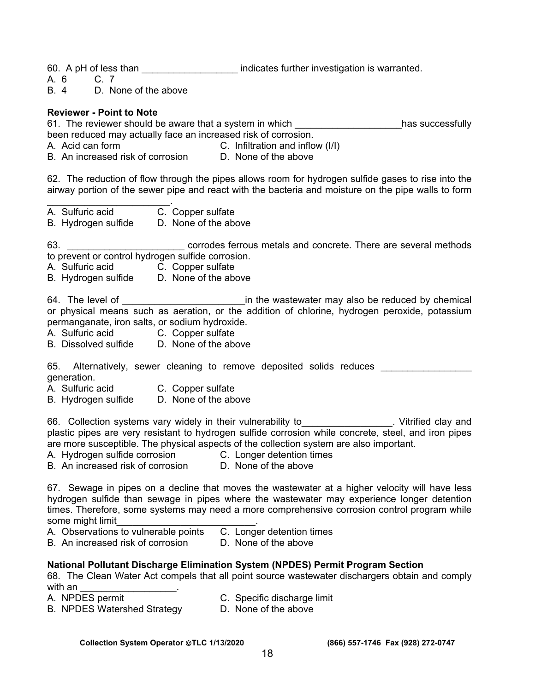60. A pH of less than **Exercise 1** indicates further investigation is warranted.

A. 6 C. 7

B. 4 D. None of the above

#### **Reviewer - Point to Note**

61. The reviewer should be aware that a system in which \_\_\_\_\_\_\_\_\_\_\_\_\_\_\_\_\_\_\_\_has successfully been reduced may actually face an increased risk of corrosion.

A. Acid can form C. Infiltration and inflow (I/I)

B. An increased risk of corrosion D. None of the above

62. The reduction of flow through the pipes allows room for hydrogen sulfide gases to rise into the airway portion of the sewer pipe and react with the bacteria and moisture on the pipe walls to form

 $\mathcal{L}_\text{max}$  and  $\mathcal{L}_\text{max}$  and  $\mathcal{L}_\text{max}$ A. Sulfuric acid C. Copper sulfate

B. Hydrogen sulfide D. None of the above

63. \_\_\_\_\_\_\_\_\_\_\_\_\_\_\_\_\_\_\_\_\_\_ corrodes ferrous metals and concrete. There are several methods to prevent or control hydrogen sulfide corrosion.

A. Sulfuric acid C. Copper sulfate

B. Hydrogen sulfide D. None of the above

64. The level of \_\_\_\_\_\_\_\_\_\_\_\_\_\_\_\_\_\_\_\_\_\_\_in the wastewater may also be reduced by chemical or physical means such as aeration, or the addition of chlorine, hydrogen peroxide, potassium permanganate, iron salts, or sodium hydroxide.

- A. Sulfuric acid C. Copper sulfate
- B. Dissolved sulfide D. None of the above

65. Alternatively, sewer cleaning to remove deposited solids reduces generation.

- A. Sulfuric acid C. Copper sulfate
- B. Hydrogen sulfide D. None of the above

66. Collection systems vary widely in their vulnerability to\_\_\_\_\_\_\_\_\_\_\_\_\_\_\_\_\_. Vitrified clay and plastic pipes are very resistant to hydrogen sulfide corrosion while concrete, steel, and iron pipes are more susceptible. The physical aspects of the collection system are also important.

A. Hydrogen sulfide corrosion C. Longer detention times

B. An increased risk of corrosion D. None of the above

67. Sewage in pipes on a decline that moves the wastewater at a higher velocity will have less hydrogen sulfide than sewage in pipes where the wastewater may experience longer detention times. Therefore, some systems may need a more comprehensive corrosion control program while some might limit

- A. Observations to vulnerable points C. Longer detention times
- B. An increased risk of corrosion D. None of the above

#### **National Pollutant Discharge Elimination System (NPDES) Permit Program Section**

68. The Clean Water Act compels that all point source wastewater dischargers obtain and comply with an

- 
- A. NPDES permit C. Specific discharge limit<br>B. NPDES Watershed Strategy D. None of the above B. NPDES Watershed Strategy
	-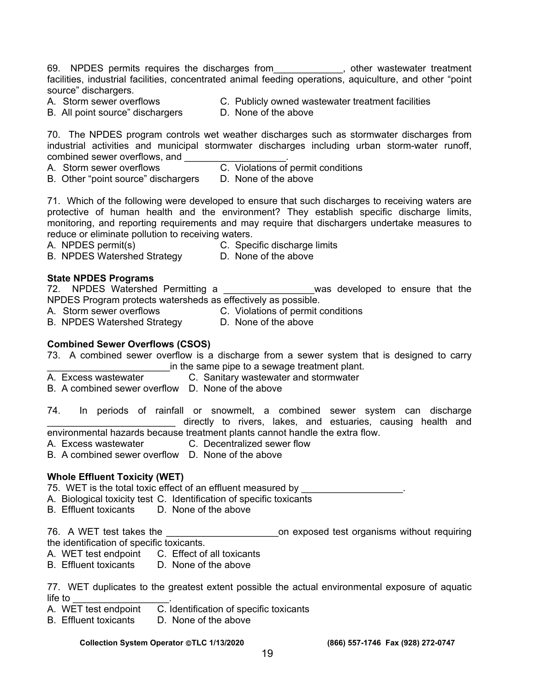69. NPDES permits requires the discharges from\_\_\_\_\_\_\_\_\_\_\_\_\_, other wastewater treatment facilities, industrial facilities, concentrated animal feeding operations, aquiculture, and other "point source" dischargers.

- 
- A. Storm sewer overflows C. Publicly owned wastewater treatment facilities
- B. All point source" dischargers D. None of the above
- 

70. The NPDES program controls wet weather discharges such as stormwater discharges from industrial activities and municipal stormwater discharges including urban storm-water runoff, combined sewer overflows, and

- A. Storm sewer overflows<br>B. Other "point source" dischargers D. None of the above
- B. Other "point source" dischargers

71. Which of the following were developed to ensure that such discharges to receiving waters are protective of human health and the environment? They establish specific discharge limits, monitoring, and reporting requirements and may require that dischargers undertake measures to reduce or eliminate pollution to receiving waters.

- 
- A. NPDES permit(s) C. Specific discharge limits<br>R NPDES Watershed Strategy D. None of the above B. NPDES Watershed Strategy

#### **State NPDES Programs**

- 72. NPDES Watershed Permitting a \_\_\_\_\_\_\_\_\_\_\_\_\_\_\_\_\_was developed to ensure that the NPDES Program protects watersheds as effectively as possible.
- A. Storm sewer overflows C. Violations of permit conditions
- B. NPDES Watershed Strategy D. None of the above

#### **Combined Sewer Overflows (CSOS)**

73. A combined sewer overflow is a discharge from a sewer system that is designed to carry in the same pipe to a sewage treatment plant.

- A. Excess wastewater C. Sanitary wastewater and stormwater
- B. A combined sewer overflow D. None of the above
- 74. In periods of rainfall or snowmelt, a combined sewer system can discharge directly to rivers, lakes, and estuaries, causing health and

environmental hazards because treatment plants cannot handle the extra flow. A. Excess wastewater C. Decentralized sewer flow

- B. A combined sewer overflow D. None of the above
- 

#### **Whole Effluent Toxicity (WET)**

- 75. WET is the total toxic effect of an effluent measured by
- A. Biological toxicity test C. Identification of specific toxicants
- B. Effluent toxicants D. None of the above

76. A WET test takes the \_\_\_\_\_\_\_\_\_\_\_\_\_\_\_\_\_\_\_\_\_\_\_\_\_on exposed test organisms without requiring the identification of specific toxicants.

- A. WET test endpoint C. Effect of all toxicants
- B. Effluent toxicants D. None of the above

77. WET duplicates to the greatest extent possible the actual environmental exposure of aquatic  $l$  ife to

- A. WET test endpoint C. Identification of specific toxicants
- B. Effluent toxicants D. None of the above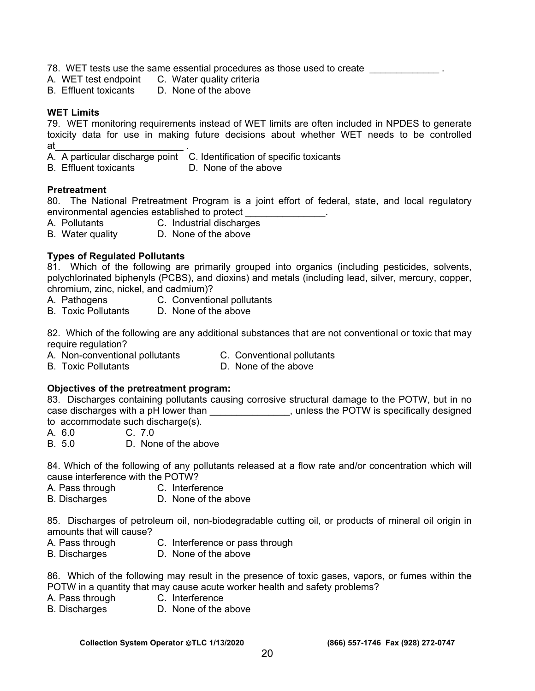- 78. WET tests use the same essential procedures as those used to create  $\sim$
- A. WET test endpoint C. Water quality criteria
- B. Effluent toxicants D. None of the above

#### **WET Limits**

79. WET monitoring requirements instead of WET limits are often included in NPDES to generate toxicity data for use in making future decisions about whether WET needs to be controlled at\_\_\_\_\_\_\_\_\_\_\_\_\_\_\_\_\_\_\_\_\_\_\_\_ .

- A. A particular discharge point C. Identification of specific toxicants
- B. Effluent toxicants D. None of the above

#### **Pretreatment**

80. The National Pretreatment Program is a joint effort of federal, state, and local regulatory environmental agencies established to protect

- A. Pollutants C. Industrial discharges
- B. Water quality D. None of the above

#### **Types of Regulated Pollutants**

81. Which of the following are primarily grouped into organics (including pesticides, solvents, polychlorinated biphenyls (PCBS), and dioxins) and metals (including lead, silver, mercury, copper, chromium, zinc, nickel, and cadmium)?

- A. Pathogens **C. Conventional pollutants**
- B. Toxic Pollutants D. None of the above

82. Which of the following are any additional substances that are not conventional or toxic that may require regulation?

- A. Non-conventional pollutants C. Conventional pollutants
- 
- B. Toxic Pollutants D. None of the above

#### **Objectives of the pretreatment program:**

83. Discharges containing pollutants causing corrosive structural damage to the POTW, but in no case discharges with a pH lower than \_\_\_\_\_\_\_\_\_\_\_\_\_\_\_, unless the POTW is specifically designed to accommodate such discharge(s).

- A. 6.0 C. 7.0
- B. 5.0 D. None of the above

84. Which of the following of any pollutants released at a flow rate and/or concentration which will cause interference with the POTW?

- A. Pass through C. Interference
- B. Discharges D. None of the above

85. Discharges of petroleum oil, non-biodegradable cutting oil, or products of mineral oil origin in amounts that will cause?

- A. Pass through C. Interference or pass through
- B. Discharges D. None of the above

86. Which of the following may result in the presence of toxic gases, vapors, or fumes within the POTW in a quantity that may cause acute worker health and safety problems?

- A. Pass through C. Interference
- B. Discharges D. None of the above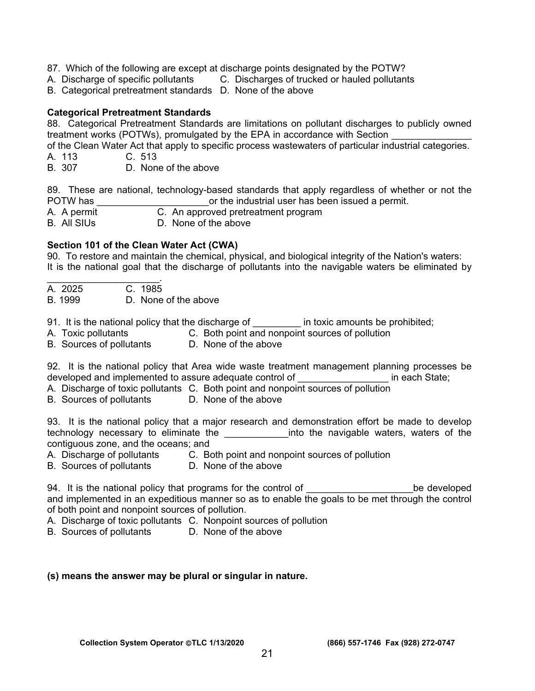- 87. Which of the following are except at discharge points designated by the POTW?
- A. Discharge of specific pollutants C. Discharges of trucked or hauled pollutants
- B. Categorical pretreatment standards D. None of the above

#### **Categorical Pretreatment Standards**

88. Categorical Pretreatment Standards are limitations on pollutant discharges to publicly owned treatment works (POTWs), promulgated by the EPA in accordance with Section

of the Clean Water Act that apply to specific process wastewaters of particular industrial categories. A. 113 C. 513

B. 307 D. None of the above

89. These are national, technology-based standards that apply regardless of whether or not the POTW has the industrial user has been issued a permit.

- A. A permit C. An approved pretreatment program
- B. All SIUs D. None of the above

# **Section 101 of the Clean Water Act (CWA)**

90. To restore and maintain the chemical, physical, and biological integrity of the Nation's waters: It is the national goal that the discharge of pollutants into the navigable waters be eliminated by

- $\mathcal{L}_\text{max}$  and  $\mathcal{L}_\text{max}$  and  $\mathcal{L}_\text{max}$ A. 2025 C. 1985
- B. 1999 D. None of the above

91. It is the national policy that the discharge of \_\_\_\_\_\_\_\_\_ in toxic amounts be prohibited;

- A. Toxic pollutants C. Both point and nonpoint sources of pollution
- B. Sources of pollutants D. None of the above

92. It is the national policy that Area wide waste treatment management planning processes be developed and implemented to assure adequate control of **Example 20** in each State;

- A. Discharge of toxic pollutants C. Both point and nonpoint sources of pollution
- B. Sources of pollutants D. None of the above

93. It is the national policy that a major research and demonstration effort be made to develop technology necessary to eliminate the **the set of the navigable waters**, waters of the contiguous zone, and the oceans; and

- A. Discharge of pollutants C. Both point and nonpoint sources of pollution
- B. Sources of pollutants D. None of the above

94. It is the national policy that programs for the control of Theorem Control of the developed and implemented in an expeditious manner so as to enable the goals to be met through the control of both point and nonpoint sources of pollution.

- A. Discharge of toxic pollutants C. Nonpoint sources of pollution
- B. Sources of pollutants D. None of the above

#### **(s) means the answer may be plural or singular in nature.**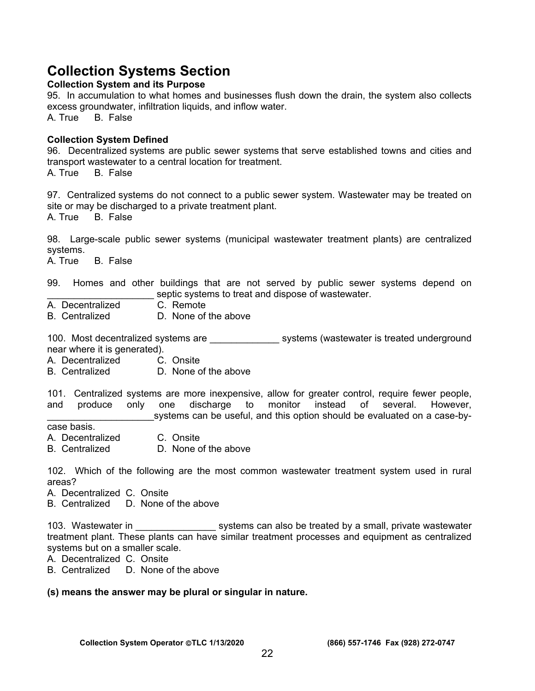# **Collection Systems Section**

#### **Collection System and its Purpose**

95. In accumulation to what homes and businesses flush down the drain, the system also collects excess groundwater, infiltration liquids, and inflow water.

A. True B. False

#### **Collection System Defined**

96. Decentralized systems are public sewer systems that serve established towns and cities and transport wastewater to a central location for treatment.

A. True B. False

97. Centralized systems do not connect to a public sewer system. Wastewater may be treated on site or may be discharged to a private treatment plant. A. True B. False

98. Large-scale public sewer systems (municipal wastewater treatment plants) are centralized systems.

A. True B. False

99. Homes and other buildings that are not served by public sewer systems depend on septic systems to treat and dispose of wastewater.

- A. Decentralized C. Remote
- B. Centralized D. None of the above

100. Most decentralized systems are \_\_\_\_\_\_\_\_\_\_\_\_\_\_\_\_ systems (wastewater is treated underground near where it is generated).

- A. Decentralized C. Onsite
- B. Centralized D. None of the above

101. Centralized systems are more inexpensive, allow for greater control, require fewer people, and produce only one discharge to monitor instead of several. However, systems can be useful, and this option should be evaluated on a case-by-

case basis.

- A. Decentralized C. Onsite
- B. Centralized D. None of the above

102. Which of the following are the most common wastewater treatment system used in rural areas?

- A. Decentralized C. Onsite
- B. Centralized D. None of the above

103. Wastewater in **the summan systems can also be treated by a small, private wastewater** treatment plant. These plants can have similar treatment processes and equipment as centralized systems but on a smaller scale.

A. Decentralized C. Onsite

B. Centralized D. None of the above

#### **(s) means the answer may be plural or singular in nature.**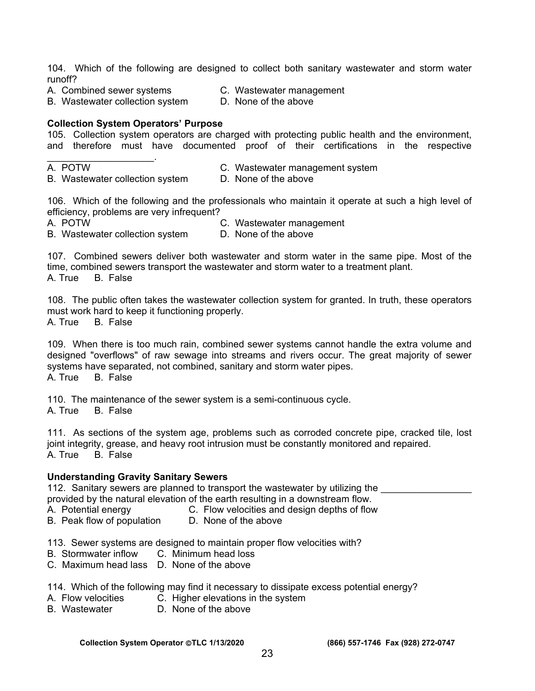104. Which of the following are designed to collect both sanitary wastewater and storm water runoff?

- A. Combined sewer systems C. Wastewater management<br>B. Wastewater collection system D. None of the above B. Wastewater collection system
	-

#### **Collection System Operators' Purpose**

105. Collection system operators are charged with protecting public health and the environment, and therefore must have documented proof of their certifications in the respective

 $\mathcal{L}_\text{max}$  and  $\mathcal{L}_\text{max}$  and  $\mathcal{L}_\text{max}$ 

A. POTW<br>B. Wastewater collection system B. None of the above B. Wastewater collection system

106. Which of the following and the professionals who maintain it operate at such a high level of efficiency, problems are very infrequent?

A. POTW C. Wastewater management

B. Wastewater collection system D. None of the above

107. Combined sewers deliver both wastewater and storm water in the same pipe. Most of the time, combined sewers transport the wastewater and storm water to a treatment plant. A. True B. False

108. The public often takes the wastewater collection system for granted. In truth, these operators must work hard to keep it functioning properly.

A. True B. False

109. When there is too much rain, combined sewer systems cannot handle the extra volume and designed "overflows" of raw sewage into streams and rivers occur. The great majority of sewer systems have separated, not combined, sanitary and storm water pipes. A. True B. False

110. The maintenance of the sewer system is a semi-continuous cycle.

A. True B. False

111. As sections of the system age, problems such as corroded concrete pipe, cracked tile, lost joint integrity, grease, and heavy root intrusion must be constantly monitored and repaired. A. True B. False

#### **Understanding Gravity Sanitary Sewers**

112. Sanitary sewers are planned to transport the wastewater by utilizing the provided by the natural elevation of the earth resulting in a downstream flow.

A. Potential energy C. Flow velocities and design depths of flow

- B. Peak flow of population D. None of the above
- 113. Sewer systems are designed to maintain proper flow velocities with?
- B. Stormwater inflow C. Minimum head loss
- C. Maximum head lass D. None of the above

#### 114. Which of the following may find it necessary to dissipate excess potential energy?

- A. Flow velocities C. Higher elevations in the system
- B. Wastewater D. None of the above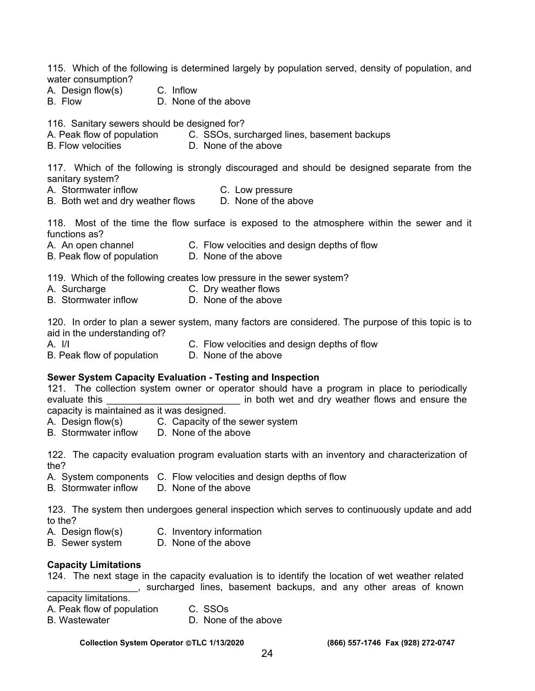115. Which of the following is determined largely by population served, density of population, and water consumption?

- A. Design flow(s) C. Inflow
- B. Flow D. None of the above

116. Sanitary sewers should be designed for?

- A. Peak flow of population C. SSOs, surcharged lines, basement backups
- B. Flow velocities **D.** None of the above

117. Which of the following is strongly discouraged and should be designed separate from the sanitary system?

- A. Stormwater inflow C. Low pressure
- B. Both wet and dry weather flows D. None of the above

118. Most of the time the flow surface is exposed to the atmosphere within the sewer and it functions as?

- A. An open channel C. Flow velocities and design depths of flow
- B. Peak flow of population D. None of the above

119. Which of the following creates low pressure in the sewer system?

- 
- A. Surcharge **C. Dry weather flows**
- B. Stormwater inflow D. None of the above

120. In order to plan a sewer system, many factors are considered. The purpose of this topic is to aid in the understanding of?

- 
- A. I/I C. Flow velocities and design depths of flow
- B. Peak flow of population D. None of the above

#### **Sewer System Capacity Evaluation - Testing and Inspection**

121. The collection system owner or operator should have a program in place to periodically evaluate this **EXECUTE:** The both wet and dry weather flows and ensure the capacity is maintained as it was designed.

A. Design flow(s) C. Capacity of the sewer system<br>B. Stormwater inflow D. None of the above D. None of the above

122. The capacity evaluation program evaluation starts with an inventory and characterization of the?

- A. System components C. Flow velocities and design depths of flow
- B. Stormwater inflow D. None of the above

123. The system then undergoes general inspection which serves to continuously update and add to the?

- A. Design flow(s) C. Inventory information
- B. Sewer system D. None of the above

#### **Capacity Limitations**

124. The next stage in the capacity evaluation is to identify the location of wet weather related \_\_\_\_\_\_\_\_\_\_\_\_\_\_\_\_\_, surcharged lines, basement backups, and any other areas of known

capacity limitations.

- A. Peak flow of population C. SSOs
- B. Wastewater **D. None of the above**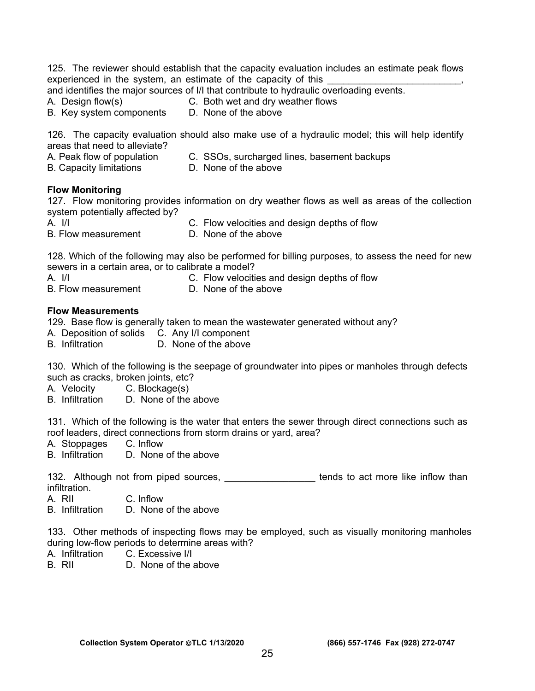125. The reviewer should establish that the capacity evaluation includes an estimate peak flows experienced in the system, an estimate of the capacity of this

and identifies the major sources of I/I that contribute to hydraulic overloading events.

- 
- A. Design flow(s) C. Both wet and dry weather flows<br>B. Key system components D. None of the above
- B. Key system components

126. The capacity evaluation should also make use of a hydraulic model; this will help identify

areas that need to alleviate?

- A. Peak flow of population C. SSOs, surcharged lines, basement backups
- B. Capacity limitations D. None of the above
- 

#### **Flow Monitoring**

127. Flow monitoring provides information on dry weather flows as well as areas of the collection system potentially affected by?

A. I/I C. Flow velocities and design depths of flow

B. Flow measurement D. None of the above

128. Which of the following may also be performed for billing purposes, to assess the need for new sewers in a certain area, or to calibrate a model?

A. I/I C. Flow velocities and design depths of flow

B. Flow measurement D. None of the above

#### **Flow Measurements**

129. Base flow is generally taken to mean the wastewater generated without any?

- A. Deposition of solids C. Any I/I component
- B. Infiltration D. None of the above

130. Which of the following is the seepage of groundwater into pipes or manholes through defects such as cracks, broken joints, etc?

- A. Velocity C. Blockage(s)
- B. Infiltration D. None of the above

131. Which of the following is the water that enters the sewer through direct connections such as roof leaders, direct connections from storm drains or yard, area?

A. Stoppages C. Inflow

B. Infiltration D. None of the above

132. Although not from piped sources, \_\_\_\_\_\_\_\_\_\_\_\_\_\_\_\_\_\_\_\_ tends to act more like inflow than infiltration.

A. RII C. Inflow

B. Infiltration D. None of the above

133. Other methods of inspecting flows may be employed, such as visually monitoring manholes during low-flow periods to determine areas with?

- A. Infiltration C. Excessive I/I
- B. RII D. None of the above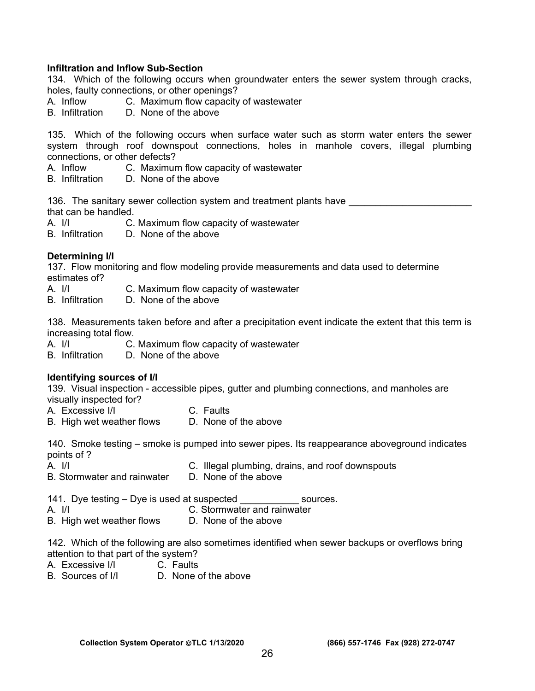#### **Infiltration and Inflow Sub-Section**

134. Which of the following occurs when groundwater enters the sewer system through cracks, holes, faulty connections, or other openings?

- A. Inflow C. Maximum flow capacity of wastewater
- B. Infiltration D. None of the above

135. Which of the following occurs when surface water such as storm water enters the sewer system through roof downspout connections, holes in manhole covers, illegal plumbing connections, or other defects?

- A. Inflow C. Maximum flow capacity of wastewater
- B. Infiltration D. None of the above

136. The sanitary sewer collection system and treatment plants have that can be handled.

A. I/I C. Maximum flow capacity of wastewater

B. Infiltration D. None of the above

#### **Determining I/I**

137. Flow monitoring and flow modeling provide measurements and data used to determine estimates of?

- A. I/I C. Maximum flow capacity of wastewater
- B. Infiltration D. None of the above

138. Measurements taken before and after a precipitation event indicate the extent that this term is increasing total flow.

A. I/I C. Maximum flow capacity of wastewater<br>B. Infiltration D. None of the above

D. None of the above

#### **Identifying sources of I/I**

139. Visual inspection - accessible pipes, gutter and plumbing connections, and manholes are visually inspected for?

- A. Excessive I/I C. Faults
- B. High wet weather flows D. None of the above

140. Smoke testing – smoke is pumped into sewer pipes. Its reappearance aboveground indicates points of ?

- A. I/I C. Illegal plumbing, drains, and roof downspouts
- B. Stormwater and rainwater D. None of the above

141. Dye testing – Dye is used at suspected sources.

- A. I/I C. Stormwater and rainwater
- B. High wet weather flows D. None of the above

142. Which of the following are also sometimes identified when sewer backups or overflows bring attention to that part of the system?

- A. Excessive I/I C. Faults
- B. Sources of I/I D. None of the above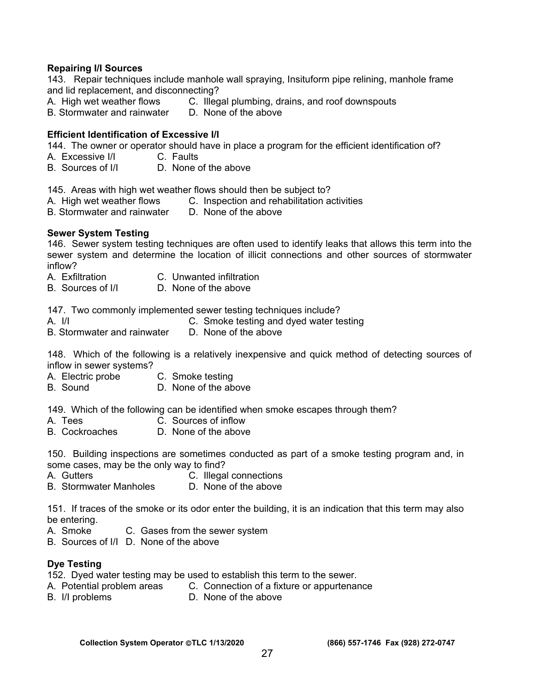#### **Repairing I/I Sources**

143. Repair techniques include manhole wall spraying, Insituform pipe relining, manhole frame and lid replacement, and disconnecting?

- A. High wet weather flows C. Illegal plumbing, drains, and roof downspouts<br>B. Stormwater and rainwater D. None of the above
- B. Stormwater and rainwater

#### **Efficient Identification of Excessive I/I**

144. The owner or operator should have in place a program for the efficient identification of?

- A. Excessive I/I C. Faults
- B. Sources of I/I D. None of the above

145. Areas with high wet weather flows should then be subject to?

- A. High wet weather flows C. Inspection and rehabilitation activities
- B. Stormwater and rainwater D. None of the above

#### **Sewer System Testing**

146. Sewer system testing techniques are often used to identify leaks that allows this term into the sewer system and determine the location of illicit connections and other sources of stormwater inflow?

- A. Exfiltration C. Unwanted infiltration
- B. Sources of I/I D. None of the above

147. Two commonly implemented sewer testing techniques include?

- A. I/I C. Smoke testing and dyed water testing
- B. Stormwater and rainwater D. None of the above

148. Which of the following is a relatively inexpensive and quick method of detecting sources of inflow in sewer systems?

- A. Electric probe C. Smoke testing
- B. Sound D. None of the above

149. Which of the following can be identified when smoke escapes through them?

- A. Tees C. Sources of inflow
- B. Cockroaches D. None of the above

150. Building inspections are sometimes conducted as part of a smoke testing program and, in some cases, may be the only way to find?

- A. Gutters C. Illegal connections
- B. Stormwater Manholes D. None of the above

151. If traces of the smoke or its odor enter the building, it is an indication that this term may also be entering.

- A. Smoke C. Gases from the sewer system
- B. Sources of I/I D. None of the above

#### **Dye Testing**

152. Dyed water testing may be used to establish this term to the sewer.

- A. Potential problem areas C. Connection of a fixture or appurtenance
- B. I/I problems D. None of the above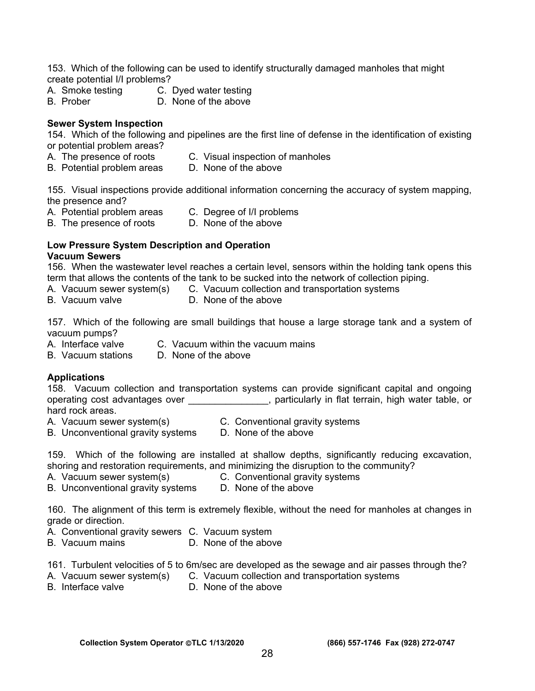153. Which of the following can be used to identify structurally damaged manholes that might create potential I/I problems?

- A. Smoke testing C. Dyed water testing
- B. Prober D. None of the above

#### **Sewer System Inspection**

154. Which of the following and pipelines are the first line of defense in the identification of existing or potential problem areas?

- A. The presence of roots C. Visual inspection of manholes
- B. Potential problem areas D. None of the above

155. Visual inspections provide additional information concerning the accuracy of system mapping, the presence and?

- A. Potential problem areas C. Degree of I/I problems
- B. The presence of roots D. None of the above

#### **Low Pressure System Description and Operation Vacuum Sewers**

156. When the wastewater level reaches a certain level, sensors within the holding tank opens this term that allows the contents of the tank to be sucked into the network of collection piping.

- A. Vacuum sewer system(s) C. Vacuum collection and transportation systems
- 
- B. Vacuum valve D. None of the above

157. Which of the following are small buildings that house a large storage tank and a system of vacuum pumps?

- A. Interface valve C. Vacuum within the vacuum mains
- B. Vacuum stations D. None of the above

#### **Applications**

158. Vacuum collection and transportation systems can provide significant capital and ongoing operating cost advantages over \_\_\_\_\_\_\_\_\_\_\_\_\_\_, particularly in flat terrain, high water table, or hard rock areas.

- A. Vacuum sewer system(s) C. Conventional gravity systems
	-
- B. Unconventional gravity systems D. None of the above

159. Which of the following are installed at shallow depths, significantly reducing excavation, shoring and restoration requirements, and minimizing the disruption to the community?

- A. Vacuum sewer system(s) C. Conventional gravity systems
	-
- B. Unconventional gravity systems D. None of the above

160. The alignment of this term is extremely flexible, without the need for manholes at changes in grade or direction.

- A. Conventional gravity sewers C. Vacuum system
- B. Vacuum mains D. None of the above

161. Turbulent velocities of 5 to 6m/sec are developed as the sewage and air passes through the?

- A. Vacuum sewer system(s) C. Vacuum collection and transportation systems
- 
- B. Interface valve D. None of the above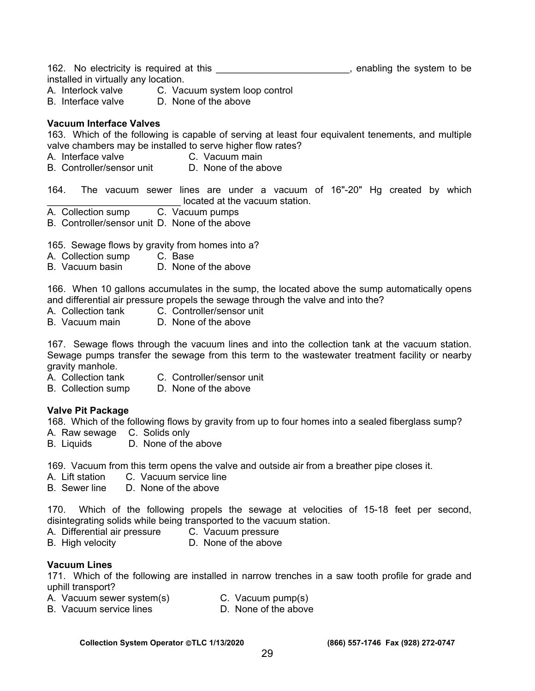162. No electricity is required at this \_\_\_\_\_\_\_\_\_\_\_\_\_\_\_\_\_\_\_\_\_\_\_\_\_\_, enabling the system to be installed in virtually any location.

- A. Interlock valve C. Vacuum system loop control<br>B. Interface valve D. None of the above
- D. None of the above

#### **Vacuum Interface Valves**

163. Which of the following is capable of serving at least four equivalent tenements, and multiple valve chambers may be installed to serve higher flow rates?

- A. Interface valve C. Vacuum main
- B. Controller/sensor unit D. None of the above

164. The vacuum sewer lines are under a vacuum of 16"-20" Hg created by which Lacktriangle at the vacuum station.<br>C. Vacuum pumps

- A. Collection sump
- B. Controller/sensor unit D. None of the above

165. Sewage flows by gravity from homes into a?

- A. Collection sump C. Base
- B. Vacuum basin D. None of the above

166. When 10 gallons accumulates in the sump, the located above the sump automatically opens and differential air pressure propels the sewage through the valve and into the?

- A. Collection tank C. Controller/sensor unit
- B. Vacuum main D. None of the above

167. Sewage flows through the vacuum lines and into the collection tank at the vacuum station. Sewage pumps transfer the sewage from this term to the wastewater treatment facility or nearby gravity manhole.

- A. Collection tank C. Controller/sensor unit
- B. Collection sump D. None of the above

#### **Valve Pit Package**

168. Which of the following flows by gravity from up to four homes into a sealed fiberglass sump?

- A. Raw sewage C. Solids only
- B. Liquids D. None of the above

169. Vacuum from this term opens the valve and outside air from a breather pipe closes it.

- A. Lift station C. Vacuum service line
- B. Sewer line D. None of the above

170. Which of the following propels the sewage at velocities of 15-18 feet per second, disintegrating solids while being transported to the vacuum station.

- A. Differential air pressure C. Vacuum pressure
- B. High velocity **D.** None of the above

#### **Vacuum Lines**

171. Which of the following are installed in narrow trenches in a saw tooth profile for grade and uphill transport?

- A. Vacuum sewer system(s) C. Vacuum pump(s)
- B. Vacuum service lines D. None of the above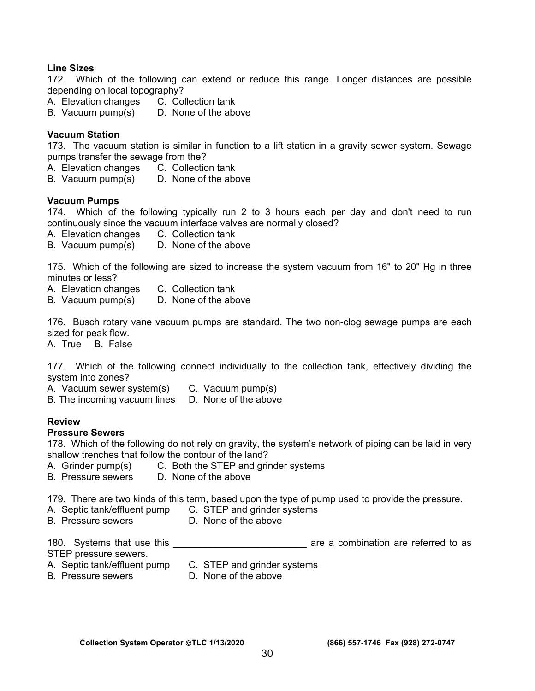#### **Line Sizes**

172. Which of the following can extend or reduce this range. Longer distances are possible depending on local topography?

- A. Elevation changes C. Collection tank
- B. Vacuum pump(s) D. None of the above

#### **Vacuum Station**

173. The vacuum station is similar in function to a lift station in a gravity sewer system. Sewage pumps transfer the sewage from the?

A. Elevation changes C. Collection tank

B. Vacuum pump(s) D. None of the above

#### **Vacuum Pumps**

174. Which of the following typically run 2 to 3 hours each per day and don't need to run continuously since the vacuum interface valves are normally closed?

- A. Elevation changes C. Collection tank
- B. Vacuum pump(s) D. None of the above

175. Which of the following are sized to increase the system vacuum from 16" to 20" Hg in three minutes or less?

- A. Elevation changes C. Collection tank
- B. Vacuum pump(s) D. None of the above

176. Busch rotary vane vacuum pumps are standard. The two non-clog sewage pumps are each sized for peak flow.

A. True B. False

177. Which of the following connect individually to the collection tank, effectively dividing the system into zones?

A. Vacuum sewer system(s) C. Vacuum pump(s)

B. The incoming vacuum lines D. None of the above

#### **Review**

#### **Pressure Sewers**

178. Which of the following do not rely on gravity, the system's network of piping can be laid in very shallow trenches that follow the contour of the land?

- A. Grinder pump(s) C. Both the STEP and grinder systems
- B. Pressure sewers D. None of the above

179. There are two kinds of this term, based upon the type of pump used to provide the pressure.

- A. Septic tank/effluent pump C. STEP and grinder systems<br>B. Pressure sewers D. None of the above
	- D. None of the above

180. Systems that use this \_\_\_\_\_\_\_\_\_\_\_\_\_\_\_\_\_\_\_\_\_\_\_\_\_\_\_\_\_\_\_\_\_\_ are a combination are referred to as STEP pressure sewers.

- A. Septic tank/effluent pump C. STEP and grinder systems
	-
- 
- B. Pressure sewers **D. None of the above**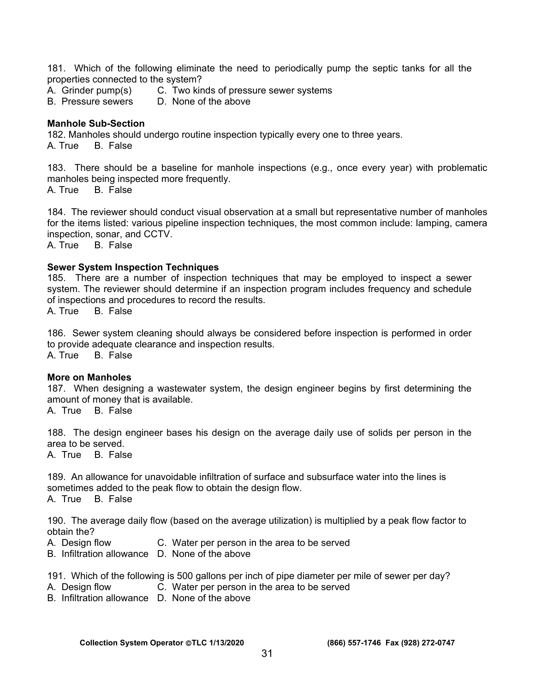181. Which of the following eliminate the need to periodically pump the septic tanks for all the properties connected to the system?

- A. Grinder pump(s) C. Two kinds of pressure sewer systems
- B. Pressure sewers D. None of the above

#### **Manhole Sub-Section**

182. Manholes should undergo routine inspection typically every one to three years. A. True B. False

183. There should be a baseline for manhole inspections (e.g., once every year) with problematic manholes being inspected more frequently.

A. True B. False

184. The reviewer should conduct visual observation at a small but representative number of manholes for the items listed: various pipeline inspection techniques, the most common include: lamping, camera inspection, sonar, and CCTV.

A. True B. False

#### **Sewer System Inspection Techniques**

185. There are a number of inspection techniques that may be employed to inspect a sewer system. The reviewer should determine if an inspection program includes frequency and schedule of inspections and procedures to record the results.

A. True B. False

186. Sewer system cleaning should always be considered before inspection is performed in order to provide adequate clearance and inspection results.<br>A. True B. False

B. False

#### **More on Manholes**

187. When designing a wastewater system, the design engineer begins by first determining the amount of money that is available.

A. True B. False

188. The design engineer bases his design on the average daily use of solids per person in the area to be served.

A. True B. False

189. An allowance for unavoidable infiltration of surface and subsurface water into the lines is sometimes added to the peak flow to obtain the design flow. A. True B. False

190. The average daily flow (based on the average utilization) is multiplied by a peak flow factor to obtain the?

- A. Design flow C. Water per person in the area to be served
- B. Infiltration allowance D. None of the above

191. Which of the following is 500 gallons per inch of pipe diameter per mile of sewer per day?

- A. Design flow C. Water per person in the area to be served
- B. Infiltration allowance D. None of the above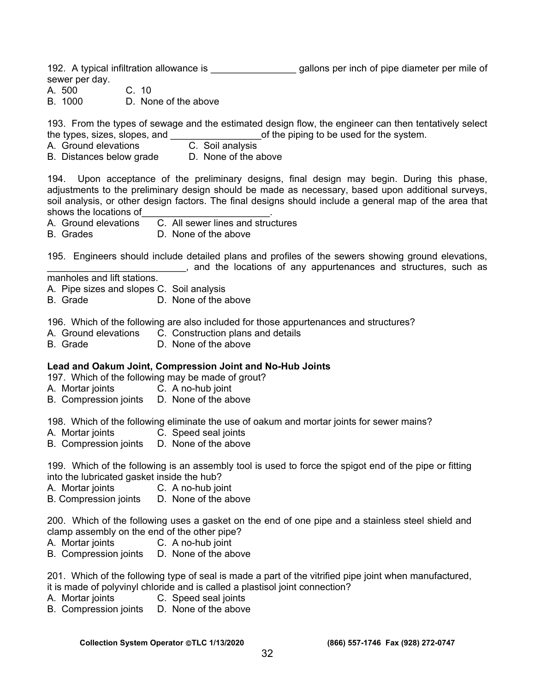192. A typical infiltration allowance is \_\_\_\_\_\_\_\_\_\_\_\_\_\_\_\_\_\_\_\_\_ gallons per inch of pipe diameter per mile of sewer per day.

A. 500 C. 10

B. 1000 D. None of the above

193. From the types of sewage and the estimated design flow, the engineer can then tentatively select the types, sizes, slopes, and  $\Box$  of the piping to be used for the system.

- A. Ground elevations C. Soil analysis
- B. Distances below grade D. None of the above

194. Upon acceptance of the preliminary designs, final design may begin. During this phase, adjustments to the preliminary design should be made as necessary, based upon additional surveys, soil analysis, or other design factors. The final designs should include a general map of the area that shows the locations of

A. Ground elevations C. All sewer lines and structures

B. Grades D. None of the above

195. Engineers should include detailed plans and profiles of the sewers showing ground elevations, \_\_\_\_\_\_\_\_\_\_\_\_\_\_\_\_\_\_\_\_\_\_\_\_\_\_, and the locations of any appurtenances and structures, such as

manholes and lift stations.

- A. Pipe sizes and slopes C. Soil analysis
- B. Grade D. None of the above

196. Which of the following are also included for those appurtenances and structures?

- A. Ground elevations C. Construction plans and details
- B. Grade D. None of the above

#### **Lead and Oakum Joint, Compression Joint and No-Hub Joints**

197. Which of the following may be made of grout?

- A. Mortar joints C. A no-hub joint
- B. Compression joints D. None of the above

198. Which of the following eliminate the use of oakum and mortar joints for sewer mains?

- A. Mortar joints C. Speed seal joints
- B. Compression joints D. None of the above

199. Which of the following is an assembly tool is used to force the spigot end of the pipe or fitting into the lubricated gasket inside the hub?

- A. Mortar joints C. A no-hub joint
- B. Compression joints D. None of the above

200. Which of the following uses a gasket on the end of one pipe and a stainless steel shield and clamp assembly on the end of the other pipe?

- A. Mortar joints C. A no-hub joint
- B. Compression joints D. None of the above

201. Which of the following type of seal is made a part of the vitrified pipe joint when manufactured, it is made of polyvinyl chloride and is called a plastisol joint connection?

- A. Mortar joints C. Speed seal joints
- B. Compression joints D. None of the above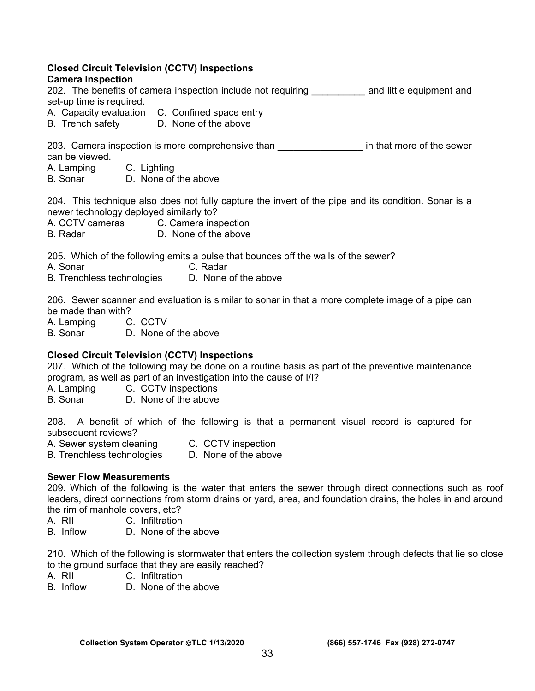#### **Closed Circuit Television (CCTV) Inspections Camera Inspection**

# 202. The benefits of camera inspection include not requiring \_\_\_\_\_\_\_\_\_\_ and little equipment and set-up time is required.

- A. Capacity evaluation C. Confined space entry
- B. Trench safety D. None of the above

203. Camera inspection is more comprehensive than **the sensul in that more of the sewer** can be viewed.

A. Lamping C. Lighting

B. Sonar D. None of the above

204. This technique also does not fully capture the invert of the pipe and its condition. Sonar is a newer technology deployed similarly to?

- A. CCTV cameras C. Camera inspection
- B. Radar D. None of the above

205. Which of the following emits a pulse that bounces off the walls of the sewer?

- A. Sonar C. Radar
- B. Trenchless technologies D. None of the above

206. Sewer scanner and evaluation is similar to sonar in that a more complete image of a pipe can be made than with?

A. Lamping C. CCTV

B. Sonar D. None of the above

# **Closed Circuit Television (CCTV) Inspections**

207. Which of the following may be done on a routine basis as part of the preventive maintenance program, as well as part of an investigation into the cause of I/I?

A. Lamping C. CCTV inspections

B. Sonar D. None of the above

208. A benefit of which of the following is that a permanent visual record is captured for subsequent reviews?

- A. Sewer system cleaning C. CCTV inspection
- B. Trenchless technologies D. None of the above

# **Sewer Flow Measurements**

209. Which of the following is the water that enters the sewer through direct connections such as roof leaders, direct connections from storm drains or yard, area, and foundation drains, the holes in and around the rim of manhole covers, etc?

- A. RII C. Infiltration
- B. Inflow D. None of the above

210. Which of the following is stormwater that enters the collection system through defects that lie so close to the ground surface that they are easily reached?<br>A. RII 6. C. Infiltration

- C. Infiltration
- B. Inflow D. None of the above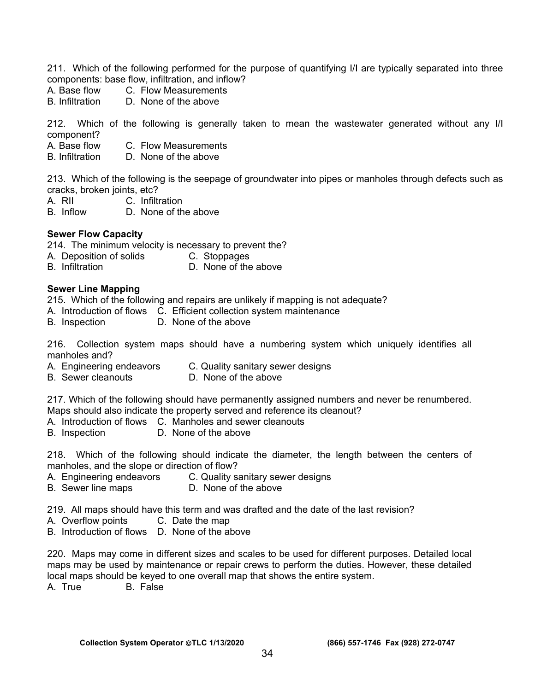211. Which of the following performed for the purpose of quantifying I/I are typically separated into three components: base flow, infiltration, and inflow?

- A. Base flow C. Flow Measurements<br>B. Infiltration D. None of the above
- D. None of the above

212. Which of the following is generally taken to mean the wastewater generated without any I/I component?

- A. Base flow C. Flow Measurements
- B. Infiltration D. None of the above

213. Which of the following is the seepage of groundwater into pipes or manholes through defects such as cracks, broken joints, etc?

- A. RII C. Infiltration
- B. Inflow D. None of the above

#### **Sewer Flow Capacity**

214. The minimum velocity is necessary to prevent the?

- A. Deposition of solids C. Stoppages
- B. Infiltration D. None of the above

#### **Sewer Line Mapping**

215. Which of the following and repairs are unlikely if mapping is not adequate?

- A. Introduction of flows C. Efficient collection system maintenance
- B. Inspection D. None of the above

216. Collection system maps should have a numbering system which uniquely identifies all manholes and?

- A. Engineering endeavors C. Quality sanitary sewer designs
- B. Sewer cleanouts D. None of the above

217. Which of the following should have permanently assigned numbers and never be renumbered. Maps should also indicate the property served and reference its cleanout?

- A. Introduction of flows C. Manholes and sewer cleanouts
- B. Inspection D. None of the above

218. Which of the following should indicate the diameter, the length between the centers of manholes, and the slope or direction of flow?

- A. Engineering endeavors C. Quality sanitary sewer designs
- B. Sewer line maps D. None of the above

219. All maps should have this term and was drafted and the date of the last revision?

- A. Overflow points C. Date the map
- B. Introduction of flows D. None of the above

220. Maps may come in different sizes and scales to be used for different purposes. Detailed local maps may be used by maintenance or repair crews to perform the duties. However, these detailed local maps should be keyed to one overall map that shows the entire system.

A. True B. False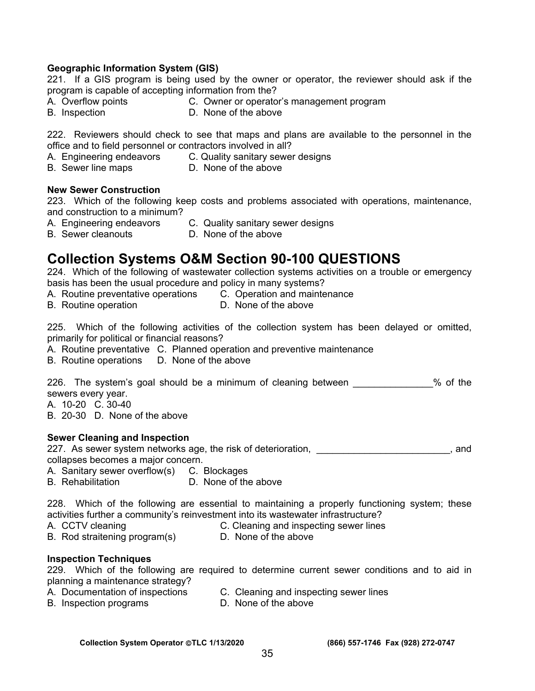#### **Geographic Information System (GIS)**

221. If a GIS program is being used by the owner or operator, the reviewer should ask if the program is capable of accepting information from the?

- A. Overflow points C. Owner or operator's management program
- 
- B. Inspection D. None of the above

222. Reviewers should check to see that maps and plans are available to the personnel in the office and to field personnel or contractors involved in all?

- A. Engineering endeavors C. Quality sanitary sewer designs
- 
- B. Sewer line maps D. None of the above

#### **New Sewer Construction**

223. Which of the following keep costs and problems associated with operations, maintenance, and construction to a minimum?

- A. Engineering endeavors C. Quality sanitary sewer designs
- 
- B. Sewer cleanouts D. None of the above

# **Collection Systems O&M Section 90-100 QUESTIONS**

224. Which of the following of wastewater collection systems activities on a trouble or emergency basis has been the usual procedure and policy in many systems?

- A. Routine preventative operations C. Operation and maintenance
- B. Routine operation **D.** None of the above

225. Which of the following activities of the collection system has been delayed or omitted, primarily for political or financial reasons?

- A. Routine preventative C. Planned operation and preventive maintenance
- B. Routine operations D. None of the above

226. The system's goal should be a minimum of cleaning between \_\_\_\_\_\_\_\_\_\_\_\_% of the sewers every year.

A. 10-20 C. 30-40

B. 20-30 D. None of the above

#### **Sewer Cleaning and Inspection**

227. As sewer system networks age, the risk of deterioration, **example 227.** As sewer system networks age, the risk of deterioration, collapses becomes a major concern.

A. Sanitary sewer overflow(s) C. Blockages

B. Rehabilitation **D. None of the above** 

228. Which of the following are essential to maintaining a properly functioning system; these activities further a community's reinvestment into its wastewater infrastructure?

- A. CCTV cleaning **C. Cleaning and inspecting sewer lines**
- B. Rod straitening program(s) D. None of the above

#### **Inspection Techniques**

229. Which of the following are required to determine current sewer conditions and to aid in planning a maintenance strategy?

- A. Documentation of inspections C. Cleaning and inspecting sewer lines
- B. Inspection programs **D. None of the above**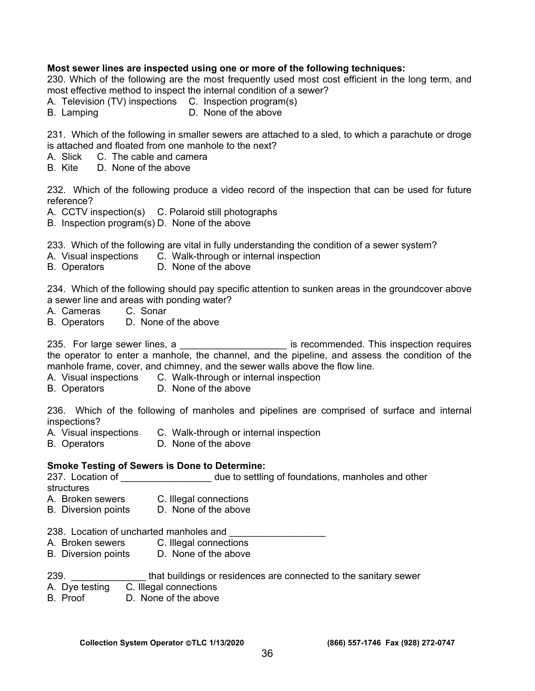#### **Most sewer lines are inspected using one or more of the following techniques:**

230. Which of the following are the most frequently used most cost efficient in the long term, and most effective method to inspect the internal condition of a sewer?

- A. Television (TV) inspections C. Inspection program(s)
- B. Lamping **D.** None of the above

231. Which of the following in smaller sewers are attached to a sled, to which a parachute or droge is attached and floated from one manhole to the next?

- A. Slick C. The cable and camera
- B. Kite D. None of the above

232. Which of the following produce a video record of the inspection that can be used for future reference?

- A. CCTV inspection(s) C. Polaroid still photographs
- B. Inspection program(s) D. None of the above

233. Which of the following are vital in fully understanding the condition of a sewer system?

- A. Visual inspections C. Walk-through or internal inspection
- B. Operators D. None of the above

234. Which of the following should pay specific attention to sunken areas in the groundcover above a sewer line and areas with ponding water?

- A. Cameras C. Sonar
- B. Operators D. None of the above

235. For large sewer lines, a **we commended.** This inspection requires the operator to enter a manhole, the channel, and the pipeline, and assess the condition of the manhole frame, cover, and chimney, and the sewer walls above the flow line.

- A. Visual inspections C. Walk-through or internal inspection
- B. Operators D. None of the above

236. Which of the following of manholes and pipelines are comprised of surface and internal inspections?

- A. Visual inspections C. Walk-through or internal inspection
- B. Operators D. None of the above

#### **Smoke Testing of Sewers is Done to Determine:**

237. Location of \_\_\_\_\_\_\_\_\_\_\_\_\_\_\_\_\_\_\_\_ due to settling of foundations, manholes and other structures

- A. Broken sewers C. Illegal connections
- B. Diversion points D. None of the above

238. Location of uncharted manholes and

- A. Broken sewers C. Illegal connections
- B. Diversion points D. None of the above

| 239 |  |  |  |  | that buildings or residences are connected to the sanitary sewer |  |
|-----|--|--|--|--|------------------------------------------------------------------|--|
|-----|--|--|--|--|------------------------------------------------------------------|--|

# A. Dye testing C. Illegal connections<br>B. Proof D. None of the above

D. None of the above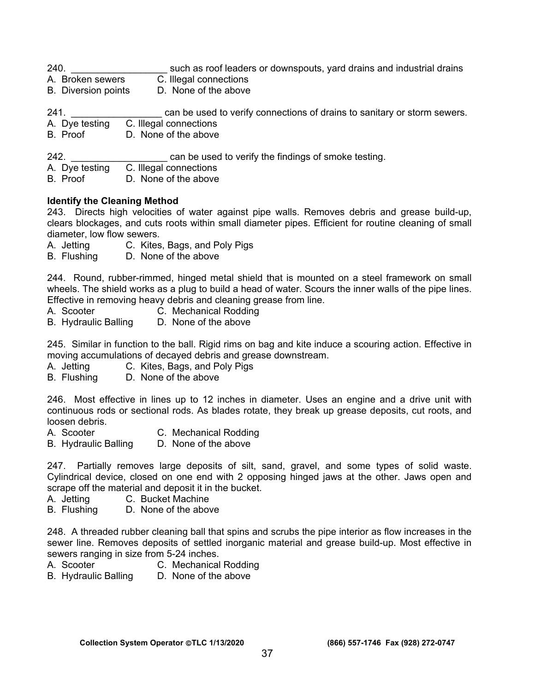- 240. **Example 240.** Such as roof leaders or downspouts, yard drains and industrial drains
- A. Broken sewers C. Illegal connections
- B. Diversion points D. None of the above
- 241. **Example 241.** Example used to verify connections of drains to sanitary or storm sewers.
- A. Dye testing C. Illegal connections B. Proof D. None of the above
- 242. **Example 242. 242. 242. 242. 242. 242. 242. 242. 242. 242. 242. 242. 252. 252. 252. 252. 252. 252. 252. 252. 252. 252. 252. 252. 252. 252. 252. 252. 252. 252.**
- A. Dye testing C. Illegal connections<br>B. Proof D. None of the above
- D. None of the above

# **Identify the Cleaning Method**

243. Directs high velocities of water against pipe walls. Removes debris and grease build-up, clears blockages, and cuts roots within small diameter pipes. Efficient for routine cleaning of small diameter, low flow sewers.

- A. Jetting C. Kites, Bags, and Poly Pigs
- B. Flushing D. None of the above

244. Round, rubber-rimmed, hinged metal shield that is mounted on a steel framework on small wheels. The shield works as a plug to build a head of water. Scours the inner walls of the pipe lines. Effective in removing heavy debris and cleaning grease from line.

- A. Scooter **C. Mechanical Rodding**
- B. Hydraulic Balling D. None of the above

245. Similar in function to the ball. Rigid rims on bag and kite induce a scouring action. Effective in moving accumulations of decayed debris and grease downstream.

- A. Jetting C. Kites, Bags, and Poly Pigs
- B. Flushing D. None of the above

246. Most effective in lines up to 12 inches in diameter. Uses an engine and a drive unit with continuous rods or sectional rods. As blades rotate, they break up grease deposits, cut roots, and loosen debris.<br>A. Scooter

- 
- C. Mechanical Rodding
- B. Hydraulic Balling D. None of the above

247. Partially removes large deposits of silt, sand, gravel, and some types of solid waste. Cylindrical device, closed on one end with 2 opposing hinged jaws at the other. Jaws open and scrape off the material and deposit it in the bucket.

- A. Jetting C. Bucket Machine
- B. Flushing D. None of the above

248. A threaded rubber cleaning ball that spins and scrubs the pipe interior as flow increases in the sewer line. Removes deposits of settled inorganic material and grease build-up. Most effective in sewers ranging in size from 5-24 inches.

- A. Scooter C. Mechanical Rodding
- B. Hydraulic Balling D. None of the above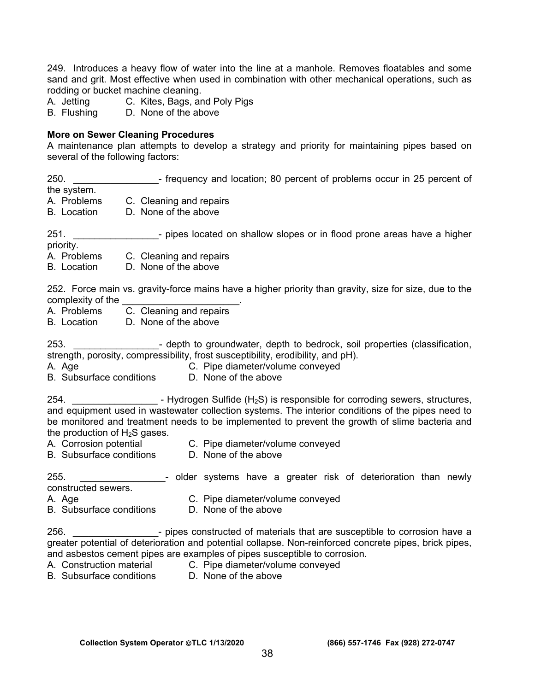249. Introduces a heavy flow of water into the line at a manhole. Removes floatables and some sand and grit. Most effective when used in combination with other mechanical operations, such as rodding or bucket machine cleaning.<br>A. Jetting C. Kites, Bags, are

- A. Jetting C. Kites, Bags, and Poly Pigs<br>B. Flushing D. None of the above
- D. None of the above

#### **More on Sewer Cleaning Procedures**

A maintenance plan attempts to develop a strategy and priority for maintaining pipes based on several of the following factors:

| 250.                                                                                                                        | - frequency and location; 80 percent of problems occur in 25 percent of                                                                                                                                                                                                                                                                               |  |  |  |  |  |
|-----------------------------------------------------------------------------------------------------------------------------|-------------------------------------------------------------------------------------------------------------------------------------------------------------------------------------------------------------------------------------------------------------------------------------------------------------------------------------------------------|--|--|--|--|--|
| the system.<br>A. Problems<br>B. Location                                                                                   | C. Cleaning and repairs<br>D. None of the above                                                                                                                                                                                                                                                                                                       |  |  |  |  |  |
| 251.<br>priority.                                                                                                           | - pipes located on shallow slopes or in flood prone areas have a higher                                                                                                                                                                                                                                                                               |  |  |  |  |  |
| A. Problems<br><b>B.</b> Location                                                                                           | C. Cleaning and repairs<br>D. None of the above                                                                                                                                                                                                                                                                                                       |  |  |  |  |  |
| complexity of the complexity of the<br>C. Cleaning and repairs<br>A. Problems<br>D. None of the above<br><b>B.</b> Location | 252. Force main vs. gravity-force mains have a higher priority than gravity, size for size, due to the                                                                                                                                                                                                                                                |  |  |  |  |  |
| 253.<br>A. Age<br><b>B.</b> Subsurface conditions                                                                           | depth to groundwater, depth to bedrock, soil properties (classification,<br>strength, porosity, compressibility, frost susceptibility, erodibility, and pH).<br>C. Pipe diameter/volume conveyed<br>D. None of the above                                                                                                                              |  |  |  |  |  |
| 254.<br>the production of $H_2S$ gases.<br>A. Corrosion potential                                                           | - Hydrogen Sulfide ( $H_2S$ ) is responsible for corroding sewers, structures,<br>and equipment used in wastewater collection systems. The interior conditions of the pipes need to<br>be monitored and treatment needs to be implemented to prevent the growth of slime bacteria and<br>C. Pipe diameter/volume conveyed                             |  |  |  |  |  |
| B. Subsurface conditions D. None of the above                                                                               |                                                                                                                                                                                                                                                                                                                                                       |  |  |  |  |  |
| 255.<br>constructed sewers.<br>A. Age<br><b>B.</b> Subsurface conditions                                                    | - older systems have a greater risk of deterioration than newly<br>C. Pipe diameter/volume conveyed<br>D. None of the above                                                                                                                                                                                                                           |  |  |  |  |  |
| 256.<br><b>B.</b> Subsurface conditions                                                                                     | - pipes constructed of materials that are susceptible to corrosion have a<br>greater potential of deterioration and potential collapse. Non-reinforced concrete pipes, brick pipes,<br>and asbestos cement pipes are examples of pipes susceptible to corrosion.<br>A. Construction material C. Pipe diameter/volume conveyed<br>D. None of the above |  |  |  |  |  |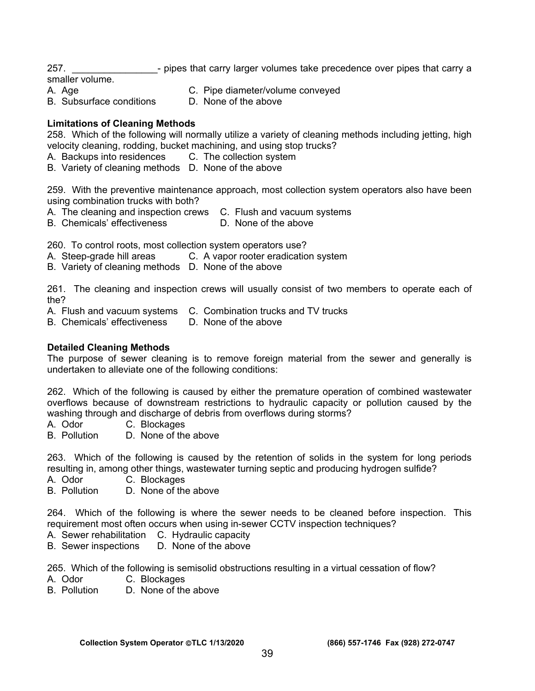257. **Example 257.** Provide that carry larger volumes take precedence over pipes that carry a

smaller volume.

- A. Age C. Pipe diameter/volume conveyed<br>B. Subsurface conditions B. None of the above
- B. Subsurface conditions
- 

# **Limitations of Cleaning Methods**

258. Which of the following will normally utilize a variety of cleaning methods including jetting, high velocity cleaning, rodding, bucket machining, and using stop trucks?

- A. Backups into residences C. The collection system
- B. Variety of cleaning methods D. None of the above

259. With the preventive maintenance approach, most collection system operators also have been using combination trucks with both?

- A. The cleaning and inspection crews C. Flush and vacuum systems
- B. Chemicals' effectiveness D. None of the above

260. To control roots, most collection system operators use?

- A. Steep-grade hill areas C. A vapor rooter eradication system
- B. Variety of cleaning methods D. None of the above

261. The cleaning and inspection crews will usually consist of two members to operate each of the?

- A. Flush and vacuum systems C. Combination trucks and TV trucks
- B. Chemicals' effectiveness D. None of the above

#### **Detailed Cleaning Methods**

The purpose of sewer cleaning is to remove foreign material from the sewer and generally is undertaken to alleviate one of the following conditions:

262. Which of the following is caused by either the premature operation of combined wastewater overflows because of downstream restrictions to hydraulic capacity or pollution caused by the washing through and discharge of debris from overflows during storms?

- A. Odor C. Blockages
- B. Pollution D. None of the above

263. Which of the following is caused by the retention of solids in the system for long periods resulting in, among other things, wastewater turning septic and producing hydrogen sulfide?

A. Odor C. Blockages<br>B. Pollution D. None of the

D. None of the above

264. Which of the following is where the sewer needs to be cleaned before inspection. This requirement most often occurs when using in-sewer CCTV inspection techniques?

- A. Sewer rehabilitation C. Hydraulic capacity
- B. Sewer inspections D. None of the above

265. Which of the following is semisolid obstructions resulting in a virtual cessation of flow?

- A. Odor C. Blockages
- B. Pollution D. None of the above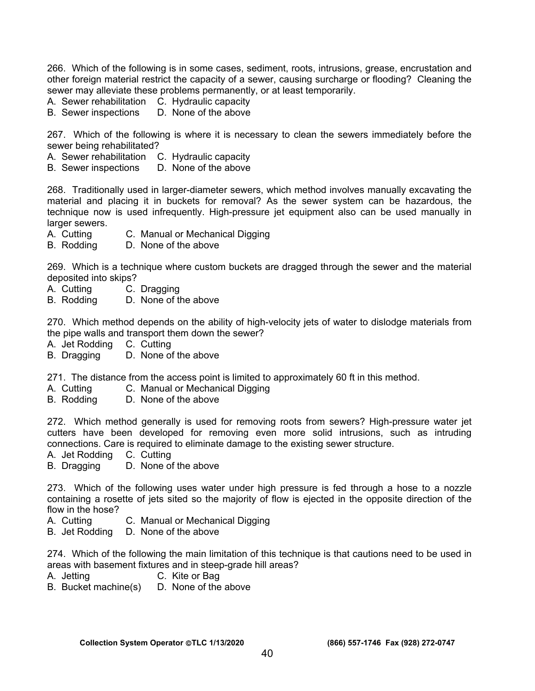266. Which of the following is in some cases, sediment, roots, intrusions, grease, encrustation and other foreign material restrict the capacity of a sewer, causing surcharge or flooding? Cleaning the sewer may alleviate these problems permanently, or at least temporarily.

- A. Sewer rehabilitation C. Hydraulic capacity<br>B. Sewer inspections D. None of the above
- B. Sewer inspections

267. Which of the following is where it is necessary to clean the sewers immediately before the sewer being rehabilitated?

- A. Sewer rehabilitation C. Hydraulic capacity
- B. Sewer inspections D. None of the above

268. Traditionally used in larger-diameter sewers, which method involves manually excavating the material and placing it in buckets for removal? As the sewer system can be hazardous, the technique now is used infrequently. High-pressure jet equipment also can be used manually in larger sewers.

- A. Cutting C. Manual or Mechanical Digging
- B. Rodding D. None of the above

269. Which is a technique where custom buckets are dragged through the sewer and the material deposited into skips?

- A. Cutting C. Dragging
- B. Rodding D. None of the above

270. Which method depends on the ability of high-velocity jets of water to dislodge materials from the pipe walls and transport them down the sewer?

- 
- A. Jet Rodding C. Cutting<br>B. Dragging D. None of D. None of the above

271. The distance from the access point is limited to approximately 60 ft in this method.

- A. Cutting C. Manual or Mechanical Digging
- B. Rodding D. None of the above

272. Which method generally is used for removing roots from sewers? High-pressure water jet cutters have been developed for removing even more solid intrusions, such as intruding connections. Care is required to eliminate damage to the existing sewer structure.

A. Jet Rodding C. Cutting

B. Dragging D. None of the above

273. Which of the following uses water under high pressure is fed through a hose to a nozzle containing a rosette of jets sited so the majority of flow is ejected in the opposite direction of the flow in the hose?

- A. Cutting C. Manual or Mechanical Digging
- B. Jet Rodding D. None of the above

274. Which of the following the main limitation of this technique is that cautions need to be used in areas with basement fixtures and in steep-grade hill areas?

- A. Jetting C. Kite or Bag
- B. Bucket machine(s) D. None of the above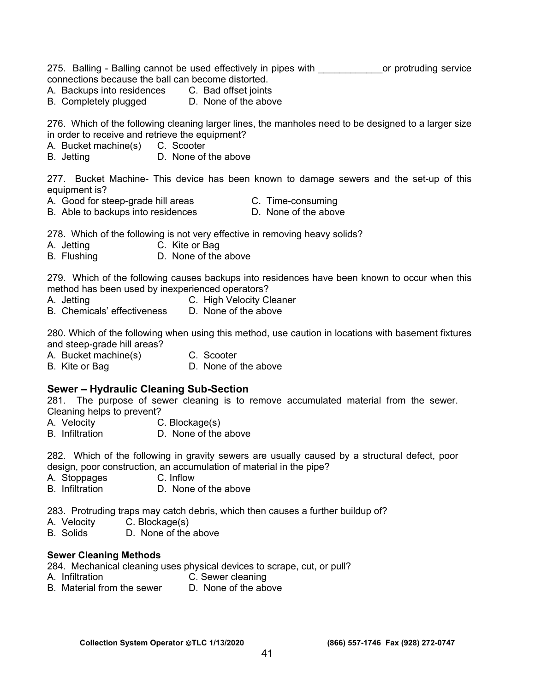275. Balling - Balling cannot be used effectively in pipes with \_\_\_\_\_\_\_\_\_\_\_\_\_\_or protruding service connections because the ball can become distorted.

- A. Backups into residences C. Bad offset joints
- B. Completely plugged D. None of the above

276. Which of the following cleaning larger lines, the manholes need to be designed to a larger size in order to receive and retrieve the equipment?

- A. Bucket machine(s) C. Scooter
- B. Jetting D. None of the above

277. Bucket Machine- This device has been known to damage sewers and the set-up of this equipment is?

- A. Good for steep-grade hill areas C. Time-consuming
	-
- B. Able to backups into residences D. None of the above

278. Which of the following is not very effective in removing heavy solids?

- A. Jetting C. Kite or Bag
- B. Flushing **D. None of the above**

279. Which of the following causes backups into residences have been known to occur when this method has been used by inexperienced operators?

- A. Jetting C. High Velocity Cleaner
- B. Chemicals' effectiveness D. None of the above

280. Which of the following when using this method, use caution in locations with basement fixtures and steep-grade hill areas?

- A. Bucket machine(s) C. Scooter
- B. Kite or Bag D. None of the above

#### **Sewer – Hydraulic Cleaning Sub-Section**

281. The purpose of sewer cleaning is to remove accumulated material from the sewer. Cleaning helps to prevent?

- A. Velocity C. Blockage(s)
- B. Infiltration D. None of the above

282. Which of the following in gravity sewers are usually caused by a structural defect, poor design, poor construction, an accumulation of material in the pipe?

- A. Stoppages C. Inflow
- B. Infiltration D. None of the above

283. Protruding traps may catch debris, which then causes a further buildup of?

- A. Velocity C. Blockage(s)
- B. Solids D. None of the above

#### **Sewer Cleaning Methods**

284. Mechanical cleaning uses physical devices to scrape, cut, or pull?

- A. Infiltration C. Sewer cleaning
- B. Material from the sewer  $\Box$  None of the above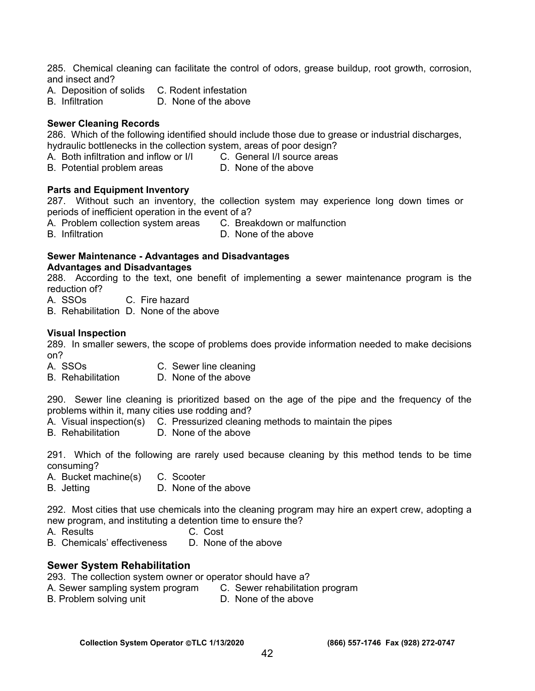285. Chemical cleaning can facilitate the control of odors, grease buildup, root growth, corrosion, and insect and?

- A. Deposition of solids C. Rodent infestation
- B. Infiltration D. None of the above

#### **Sewer Cleaning Records**

286. Which of the following identified should include those due to grease or industrial discharges, hydraulic bottlenecks in the collection system, areas of poor design?

- A. Both infiltration and inflow or I/I C. General I/I source areas
- B. Potential problem areas **D.** None of the above

#### **Parts and Equipment Inventory**

287. Without such an inventory, the collection system may experience long down times or periods of inefficient operation in the event of a?

A. Problem collection system areas C. Breakdown or malfunction

B. Infiltration D. None of the above

# **Sewer Maintenance - Advantages and Disadvantages**

#### **Advantages and Disadvantages**

288. According to the text, one benefit of implementing a sewer maintenance program is the reduction of?

A. SSOs C. Fire hazard

B. Rehabilitation D. None of the above

#### **Visual Inspection**

289. In smaller sewers, the scope of problems does provide information needed to make decisions on?

- A. SSOs C. Sewer line cleaning
- B. Rehabilitation D. None of the above

290. Sewer line cleaning is prioritized based on the age of the pipe and the frequency of the problems within it, many cities use rodding and?

- A. Visual inspection(s) C. Pressurized cleaning methods to maintain the pipes<br>B. Rehabilitation D. None of the above
- D. None of the above

291. Which of the following are rarely used because cleaning by this method tends to be time consuming?

- A. Bucket machine(s) C. Scooter
- B. Jetting D. None of the above

292. Most cities that use chemicals into the cleaning program may hire an expert crew, adopting a new program, and instituting a detention time to ensure the?

- A. Results C. Cost
	-
- B. Chemicals' effectiveness D. None of the above

#### **Sewer System Rehabilitation**

293. The collection system owner or operator should have a?

- A. Sewer sampling system program C. Sewer rehabilitation program
- B. Problem solving unit **D.** None of the above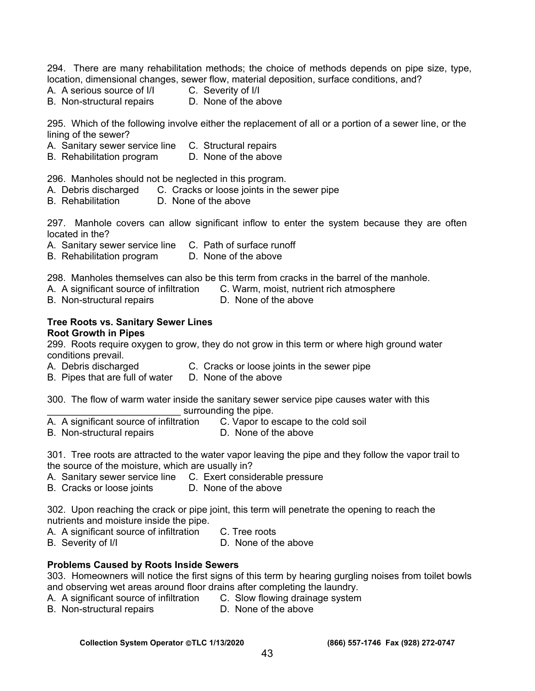294. There are many rehabilitation methods; the choice of methods depends on pipe size, type, location, dimensional changes, sewer flow, material deposition, surface conditions, and?

- A. A serious source of  $\vert/\vert$  C. Severity of  $\vert/\vert$ 
	-
- B. Non-structural repairs D. None of the above

295. Which of the following involve either the replacement of all or a portion of a sewer line, or the lining of the sewer?

- A. Sanitary sewer service line C. Structural repairs
- B. Rehabilitation program D. None of the above

296. Manholes should not be neglected in this program.

- A. Debris discharged C. Cracks or loose joints in the sewer pipe
- B. Rehabilitation D. None of the above

297. Manhole covers can allow significant inflow to enter the system because they are often located in the?

- A. Sanitary sewer service line C. Path of surface runoff
- B. Rehabilitation program D. None of the above

298. Manholes themselves can also be this term from cracks in the barrel of the manhole.

- A. A significant source of infiltration C. Warm, moist, nutrient rich atmosphere
- B. Non-structural repairs **D.** None of the above

#### **Tree Roots vs. Sanitary Sewer Lines Root Growth in Pipes**

299. Roots require oxygen to grow, they do not grow in this term or where high ground water conditions prevail.

- A. Debris discharged C. Cracks or loose joints in the sewer pipe
- B. Pipes that are full of water D. None of the above

300. The flow of warm water inside the sanitary sewer service pipe causes water with this surrounding the pipe.

- A. A significant source of infiltration C. Vapor to escape to the cold soil
- B. Non-structural repairs **D.** None of the above

301. Tree roots are attracted to the water vapor leaving the pipe and they follow the vapor trail to the source of the moisture, which are usually in?

- A. Sanitary sewer service line C. Exert considerable pressure
- B. Cracks or loose joints D. None of the above

302. Upon reaching the crack or pipe joint, this term will penetrate the opening to reach the nutrients and moisture inside the pipe.

- A. A significant source of infiltration C. Tree roots
- B. Severity of I/I D. None of the above

#### **Problems Caused by Roots Inside Sewers**

303. Homeowners will notice the first signs of this term by hearing gurgling noises from toilet bowls and observing wet areas around floor drains after completing the laundry.

- A. A significant source of infiltration C. Slow flowing drainage system
- B. Non-structural repairs **D.** None of the above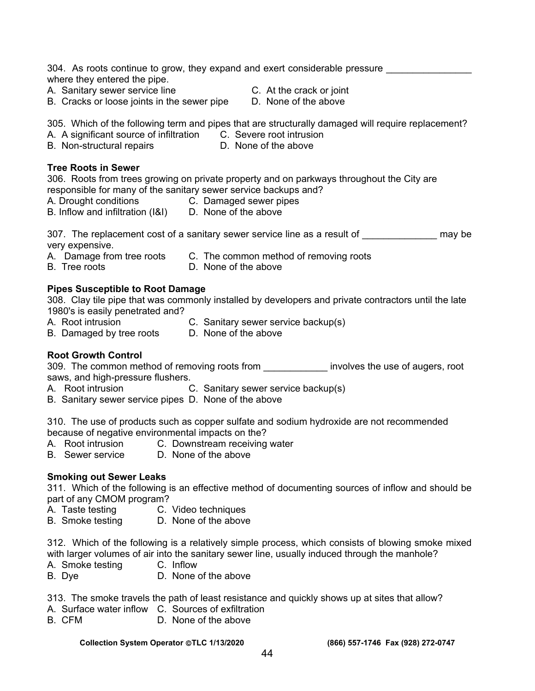304. As roots continue to grow, they expand and exert considerable pressure where they entered the pipe.

- A. Sanitary sewer service line The C. At the crack or joint
- B. Cracks or loose joints in the sewer pipe D. None of the above
- -

305. Which of the following term and pipes that are structurally damaged will require replacement?

- A. A significant source of infiltration C. Severe root intrusion
- B. Non-structural repairs **D.** None of the above
- 

#### **Tree Roots in Sewer**

306. Roots from trees growing on private property and on parkways throughout the City are responsible for many of the sanitary sewer service backups and?

- A. Drought conditions C. Damaged sewer pipes
	-
- B. Inflow and infiltration (I&I) D. None of the above

307. The replacement cost of a sanitary sewer service line as a result of \_\_\_\_\_\_\_\_\_\_\_\_\_\_\_ may be

very expensive.

- A. Damage from tree roots C. The common method of removing roots
- B. Tree roots D. None of the above

#### **Pipes Susceptible to Root Damage**

308. Clay tile pipe that was commonly installed by developers and private contractors until the late 1980's is easily penetrated and?

- A. Root intrusion C. Sanitary sewer service backup(s)
- B. Damaged by tree roots D. None of the above

# **Root Growth Control**

309. The common method of removing roots from **with the seam of involves** the use of augers, root saws, and high-pressure flushers.

- A. Root intrusion C. Sanitary sewer service backup(s)
- B. Sanitary sewer service pipes D. None of the above

310. The use of products such as copper sulfate and sodium hydroxide are not recommended because of negative environmental impacts on the?

- A. Root intrusion C. Downstream receiving water
- B. Sewer service D. None of the above

# **Smoking out Sewer Leaks**

311. Which of the following is an effective method of documenting sources of inflow and should be part of any CMOM program?

- A. Taste testing C. Video techniques
- B. Smoke testing D. None of the above

312. Which of the following is a relatively simple process, which consists of blowing smoke mixed with larger volumes of air into the sanitary sewer line, usually induced through the manhole?

- A. Smoke testing C. Inflow
- B. Dye D. None of the above

313. The smoke travels the path of least resistance and quickly shows up at sites that allow?

- A. Surface water inflow C. Sources of exfiltration
- B. CFM D. None of the above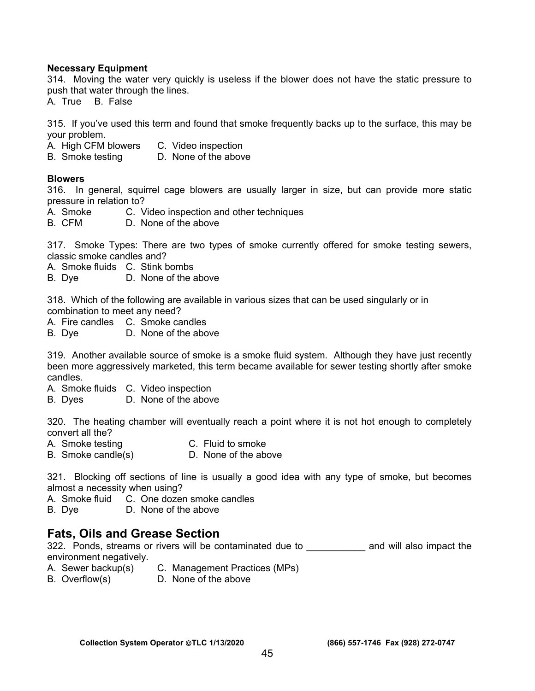#### **Necessary Equipment**

314. Moving the water very quickly is useless if the blower does not have the static pressure to push that water through the lines.

A. True B. False

315. If you've used this term and found that smoke frequently backs up to the surface, this may be your problem.

- A. High CFM blowers C. Video inspection
- B. Smoke testing D. None of the above

#### **Blowers**

316. In general, squirrel cage blowers are usually larger in size, but can provide more static pressure in relation to?

- A. Smoke C. Video inspection and other techniques
- B. CFM D. None of the above

317. Smoke Types: There are two types of smoke currently offered for smoke testing sewers, classic smoke candles and?

- A. Smoke fluids C. Stink bombs
- B. Dye D. None of the above

318. Which of the following are available in various sizes that can be used singularly or in combination to meet any need?

- A. Fire candles C. Smoke candles
- B. Dye D. None of the above

319. Another available source of smoke is a smoke fluid system. Although they have just recently been more aggressively marketed, this term became available for sewer testing shortly after smoke candles.

- A. Smoke fluids C. Video inspection
- B. Dyes D. None of the above

320. The heating chamber will eventually reach a point where it is not hot enough to completely convert all the?

- A. Smoke testing C. Fluid to smoke
- B. Smoke candle(s) D. None of the above

321. Blocking off sections of line is usually a good idea with any type of smoke, but becomes almost a necessity when using?

A. Smoke fluid C. One dozen smoke candles

B. Dye D. None of the above

# **Fats, Oils and Grease Section**

322. Ponds, streams or rivers will be contaminated due to \_\_\_\_\_\_\_\_\_\_\_\_ and will also impact the environment negatively.

- A. Sewer backup(s) C. Management Practices (MPs)
- B. Overflow(s) D. None of the above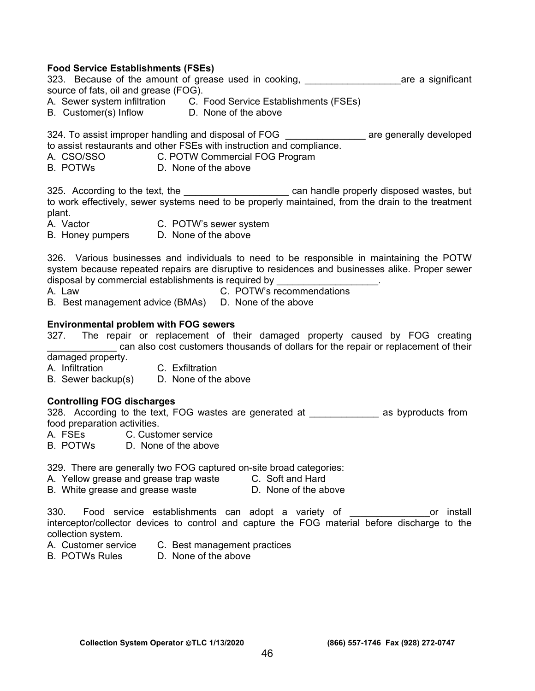#### **Food Service Establishments (FSEs)**

323. Because of the amount of grease used in cooking, the same a significant source of fats, oil and grease (FOG).

- A. Sewer system infiltration C. Food Service Establishments (FSEs)
- B. Customer(s) Inflow D. None of the above

324. To assist improper handling and disposal of FOG **The and State and State and State are generally developed** to assist restaurants and other FSEs with instruction and compliance.

- A. CSO/SSO C. POTW Commercial FOG Program
- B. POTWs D. None of the above

325. According to the text, the **the set of the set of the can handle properly disposed wastes**, but to work effectively, sewer systems need to be properly maintained, from the drain to the treatment plant.

- A. Vactor **C. POTW's sewer system**
- B. Honey pumpers D. None of the above

326. Various businesses and individuals to need to be responsible in maintaining the POTW system because repeated repairs are disruptive to residences and businesses alike. Proper sewer disposal by commercial establishments is required by

A. Law C. POTW's recommendations B. Best management advice (BMAs) D. None of the above

#### **Environmental problem with FOG sewers**

327. The repair or replacement of their damaged property caused by FOG creating can also cost customers thousands of dollars for the repair or replacement of their

damaged property.

- A. Infiltration C. Exfiltration
- B. Sewer backup(s) D. None of the above

#### **Controlling FOG discharges**

328. According to the text, FOG wastes are generated at \_\_\_\_\_\_\_\_\_\_\_\_\_\_ as byproducts from food preparation activities.

- A. FSEs C. Customer service
- B. POTWs D. None of the above

329. There are generally two FOG captured on-site broad categories:

- A. Yellow grease and grease trap waste C. Soft and Hard
- B. White grease and grease waste D. None of the above

330. Food service establishments can adopt a variety of **Example 20** or install interceptor/collector devices to control and capture the FOG material before discharge to the collection system.

- A. Customer service C. Best management practices
- B. POTWs Rules D. None of the above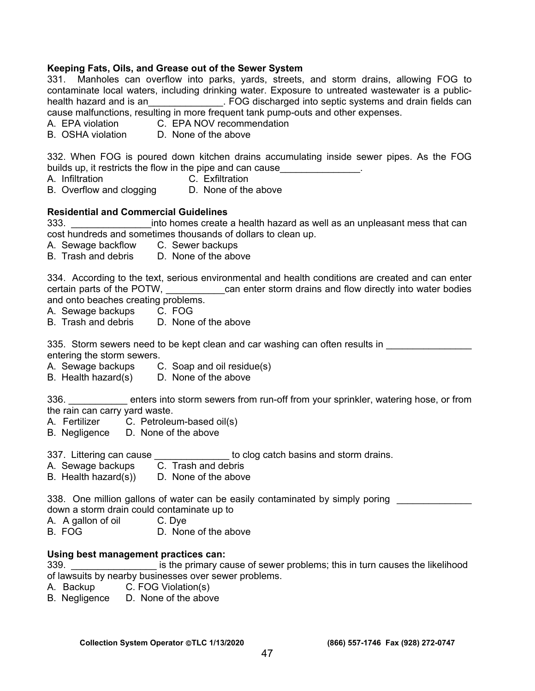#### **Keeping Fats, Oils, and Grease out of the Sewer System**

331. Manholes can overflow into parks, yards, streets, and storm drains, allowing FOG to contaminate local waters, including drinking water. Exposure to untreated wastewater is a publichealth hazard and is an Thealth hazard and is an under the Septic systems and drain fields can cause malfunctions, resulting in more frequent tank pump-outs and other expenses.

- A. EPA violation C. EPA NOV recommendation
- B. OSHA violation D. None of the above

332. When FOG is poured down kitchen drains accumulating inside sewer pipes. As the FOG builds up, it restricts the flow in the pipe and can cause

- A. Infiltration C. Exfiltration
- B. Overflow and clogging D. None of the above

#### **Residential and Commercial Guidelines**

333. \_\_\_\_\_\_\_\_\_\_\_\_\_\_\_into homes create a health hazard as well as an unpleasant mess that can cost hundreds and sometimes thousands of dollars to clean up.

- A. Sewage backflow C. Sewer backups
- B. Trash and debris D. None of the above

334. According to the text, serious environmental and health conditions are created and can enter certain parts of the POTW, \_\_\_\_\_\_\_\_\_\_\_can enter storm drains and flow directly into water bodies and onto beaches creating problems.

A. Sewage backups C. FOG

B. Trash and debris D. None of the above

335. Storm sewers need to be kept clean and car washing can often results in entering the storm sewers.

- A. Sewage backups C. Soap and oil residue(s)
- B. Health hazard(s) D. None of the above

336. \_\_\_\_\_\_\_\_\_\_\_ enters into storm sewers from run-off from your sprinkler, watering hose, or from the rain can carry yard waste.

- A. Fertilizer C. Petroleum-based oil(s)
- B. Negligence D. None of the above

337. Littering can cause the state of the clog catch basins and storm drains.

A. Sewage backups C. Trash and debris

B. Health hazard $(s)$ ) D. None of the above

338. One million gallons of water can be easily contaminated by simply poring down a storm drain could contaminate up to

- A. A gallon of oil C. Dye
- B. FOG D. None of the above

#### **Using best management practices can:**

339. **Example 2339. Example 2339.** Is the primary cause of sewer problems; this in turn causes the likelihood of lawsuits by nearby businesses over sewer problems.

- A. Backup C. FOG Violation(s)
- B. Negligence D. None of the above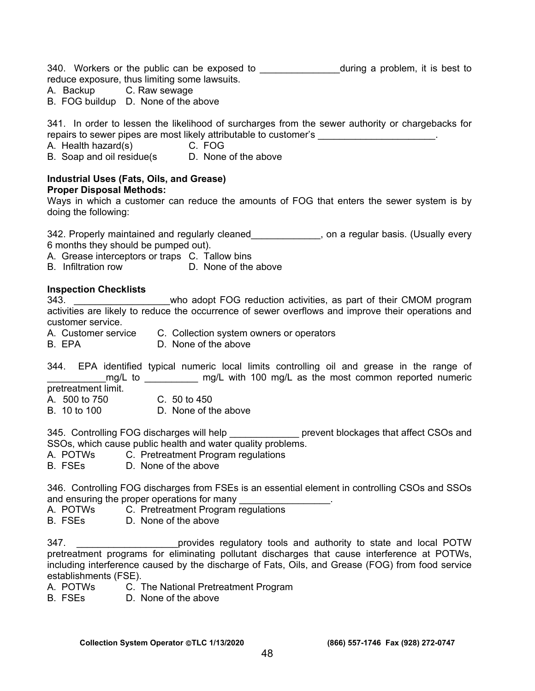340. Workers or the public can be exposed to \_\_\_\_\_\_\_\_\_\_\_\_\_\_\_\_\_\_\_\_during a problem, it is best to reduce exposure, thus limiting some lawsuits.

- A. Backup C. Raw sewage
- B. FOG buildup D. None of the above

341. In order to lessen the likelihood of surcharges from the sewer authority or chargebacks for repairs to sewer pipes are most likely attributable to customer's **Exercise 1** and the second part of the second

- A. Health hazard(s) C. FOG
- B. Soap and oil residue(s D. None of the above

#### **Industrial Uses (Fats, Oils, and Grease) Proper Disposal Methods:**

Ways in which a customer can reduce the amounts of FOG that enters the sewer system is by doing the following:

342. Properly maintained and regularly cleaned\_\_\_\_\_\_\_\_\_\_\_\_\_, on a regular basis. (Usually every 6 months they should be pumped out).

A. Grease interceptors or traps C. Tallow bins

B. Infiltration row D. None of the above

#### **Inspection Checklists**

343. **Example 343.** Who adopt FOG reduction activities, as part of their CMOM program activities are likely to reduce the occurrence of sewer overflows and improve their operations and customer service.

- A. Customer service C. Collection system owners or operators
- B. FPA D. None of the above

344. EPA identified typical numeric local limits controlling oil and grease in the range of \_\_\_\_\_\_\_mg/L to \_\_\_\_\_\_\_\_\_\_\_\_\_ mg/L with 100 mg/L as the most common reported numeric

pretreatment limit.

- A. 500 to 750 C. 50 to 450
- B 10 to 100 D. None of the above

345. Controlling FOG discharges will help \_\_\_\_\_\_\_\_\_\_\_\_\_ prevent blockages that affect CSOs and SSOs, which cause public health and water quality problems.

- A. POTWs C. Pretreatment Program regulations
- B. FSEs D. None of the above

346. Controlling FOG discharges from FSEs is an essential element in controlling CSOs and SSOs and ensuring the proper operations for many entity and ensuring the proper operations for many

- A. POTWs C. Pretreatment Program regulations
- B. FSEs D. None of the above

347. **we can also construct on the constructs** 347. **Constructs and set of the constructs** 347. pretreatment programs for eliminating pollutant discharges that cause interference at POTWs, including interference caused by the discharge of Fats, Oils, and Grease (FOG) from food service establishments (FSE).

- A. POTWs C. The National Pretreatment Program
- B. FSEs D. None of the above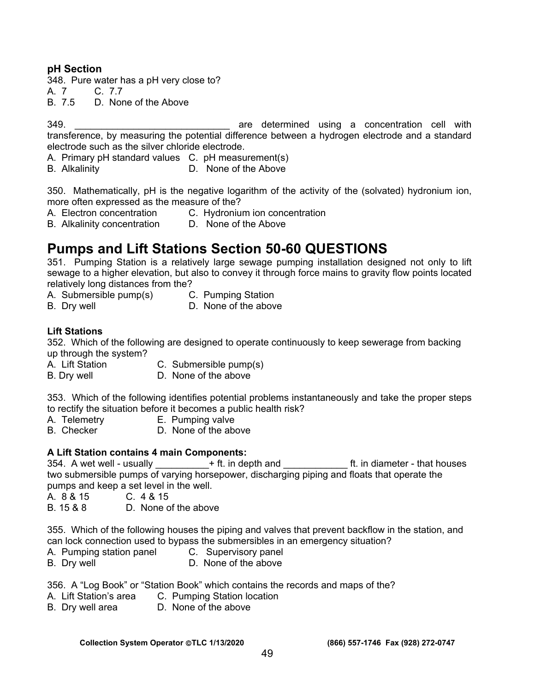# **pH Section**

348. Pure water has a pH very close to?

A. 7 C. 7.7

B. 7.5 D. None of the Above

349. **Example 20 Telecomorporation** are determined using a concentration cell with transference, by measuring the potential difference between a hydrogen electrode and a standard electrode such as the silver chloride electrode.

A. Primary pH standard values C. pH measurement(s)

B. Alkalinity D. None of the Above

350. Mathematically, pH is the negative logarithm of the activity of the (solvated) hydronium ion, more often expressed as the measure of the?

- A. Electron concentration C. Hydronium ion concentration
- B. Alkalinity concentration D. None of the Above

# **Pumps and Lift Stations Section 50-60 QUESTIONS**

351. Pumping Station is a relatively large sewage pumping installation designed not only to lift sewage to a higher elevation, but also to convey it through force mains to gravity flow points located relatively long distances from the?

- A. Submersible pump(s) C. Pumping Station
	-
- B. Dry well **D.** None of the above
- **Lift Stations**

352. Which of the following are designed to operate continuously to keep sewerage from backing up through the system?

- A. Lift Station C. Submersible pump(s)
- B. Dry well **D.** None of the above

353. Which of the following identifies potential problems instantaneously and take the proper steps to rectify the situation before it becomes a public health risk?

- A. Telemetry E. Pumping valve
- B. Checker D. None of the above

#### **A Lift Station contains 4 main Components:**

354. A wet well - usually  $+$  ft. in depth and  $-$  ft. in diameter - that houses two submersible pumps of varying horsepower, discharging piping and floats that operate the pumps and keep a set level in the well.

- A. 8 & 15 C. 4 & 15
- B. 15 & 8 D. None of the above

355. Which of the following houses the piping and valves that prevent backflow in the station, and can lock connection used to bypass the submersibles in an emergency situation?

- A. Pumping station panel C. Supervisory panel
- B. Dry well **D.** None of the above

356. A "Log Book" or "Station Book" which contains the records and maps of the?

- A. Lift Station's area C. Pumping Station location
- B. Dry well area D. None of the above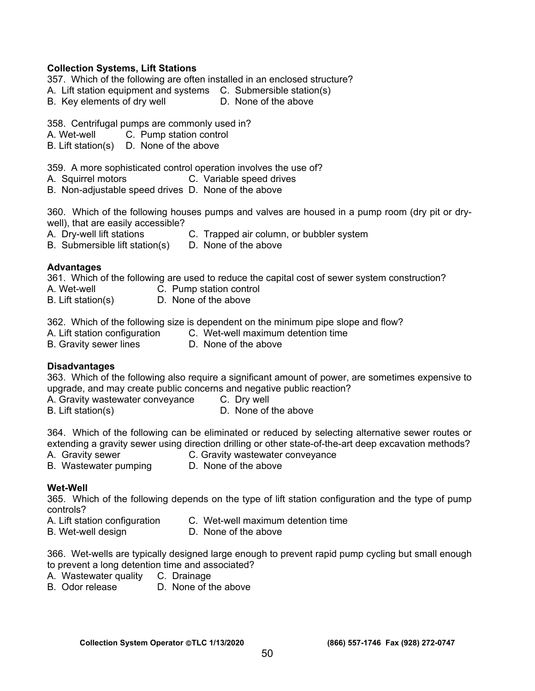#### **Collection Systems, Lift Stations**

- 357. Which of the following are often installed in an enclosed structure?
- A. Lift station equipment and systems C. Submersible station(s)
- B. Key elements of dry well **D.** None of the above

358. Centrifugal pumps are commonly used in?

A. Wet-well C. Pump station control

B. Lift station(s) D. None of the above

359. A more sophisticated control operation involves the use of?

- A. Squirrel motors C. Variable speed drives
- B. Non-adjustable speed drives D. None of the above

360. Which of the following houses pumps and valves are housed in a pump room (dry pit or drywell), that are easily accessible?

A. Dry-well lift stations C. Trapped air column, or bubbler system

B. Submersible lift station(s) D. None of the above

#### **Advantages**

361. Which of the following are used to reduce the capital cost of sewer system construction?

- 
- A. Wet-well C. Pump station control
- B. Lift station(s) D. None of the above

362. Which of the following size is dependent on the minimum pipe slope and flow?

- 
- A. Lift station configuration C. Wet-well maximum detention time<br>B. Gravity sewer lines D. None of the above
- B. Gravity sewer lines
- 

#### **Disadvantages**

363. Which of the following also require a significant amount of power, are sometimes expensive to upgrade, and may create public concerns and negative public reaction?

A. Gravity wastewater conveyance C. Dry well

B. Lift station(s) B. Lift station(s)

364. Which of the following can be eliminated or reduced by selecting alternative sewer routes or extending a gravity sewer using direction drilling or other state-of-the-art deep excavation methods?

- 
- A. Gravity sewer **C. Gravity wastewater conveyance**
- B. Wastewater pumping D. None of the above

#### **Wet-Well**

365. Which of the following depends on the type of lift station configuration and the type of pump controls?

- A. Lift station configuration C. Wet-well maximum detention time
- B. Wet-well design **D. None of the above**

366. Wet-wells are typically designed large enough to prevent rapid pump cycling but small enough to prevent a long detention time and associated?

- A. Wastewater quality C. Drainage
- B. Odor release D. None of the above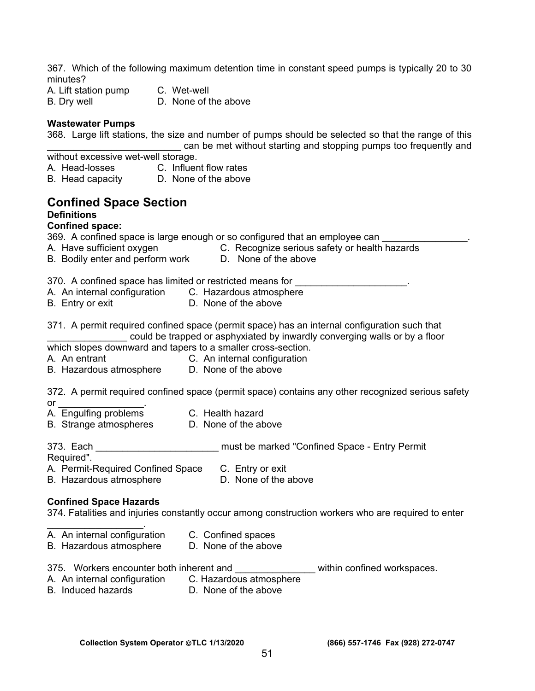367. Which of the following maximum detention time in constant speed pumps is typically 20 to 30 minutes?

A. Lift station pump C. Wet-well B. Dry well **D.** None of the above

#### **Wastewater Pumps**

368. Large lift stations, the size and number of pumps should be selected so that the range of this

can be met without starting and stopping pumps too frequently and without excessive wet-well storage.

- A. Head-losses C. Influent flow rates<br>B. Head capacity D. None of the above
- B. Head capacity

# **Confined Space Section**

#### **Definitions**

#### **Confined space:**

369. A confined space is large enough or so configured that an employee can

- A. Have sufficient oxygen C. Recognize serious safety or health hazards
	-
- B. Bodily enter and perform work D. None of the above

370. A confined space has limited or restricted means for

- A. An internal configuration C.Hazardous atmosphere
- B. Entry or exit **D.** None of the above

371. A permit required confined space (permit space) has an internal configuration such that could be trapped or asphyxiated by inwardly converging walls or by a floor which slopes downward and tapers to a smaller cross-section.

- A. An entrant C. An internal configuration
- B. Hazardous atmosphere D. None of the above

372. A permit required confined space (permit space) contains any other recognized serious safety

- or \_\_\_\_\_\_\_\_\_\_\_\_\_\_\_\_.
- A. Engulfing problems C. Health hazard
- B. Strange atmospheres D. None of the above
- 373. Each \_\_\_\_\_\_\_\_\_\_\_\_\_\_\_\_\_\_\_\_\_\_\_\_\_\_\_ must be marked "Confined Space Entry Permit
- Required".
- A. Permit-Required Confined Space C. Entry or exit

B. Hazardous atmosphere **D.** None of the above

#### **Confined Space Hazards**

374. Fatalities and injuries constantly occur among construction workers who are required to enter

- $\mathcal{L}_\text{max}$  and  $\mathcal{L}_\text{max}$  and  $\mathcal{L}_\text{max}$ A. An internal configuration C. Confined spaces
- B. Hazardous atmosphere D. None of the above
- 375. Workers encounter both inherent and **Warehouse within confined workspaces**.
- A. An internal configuration C. Hazardous atmosphere
- B. Induced hazards D. None of the above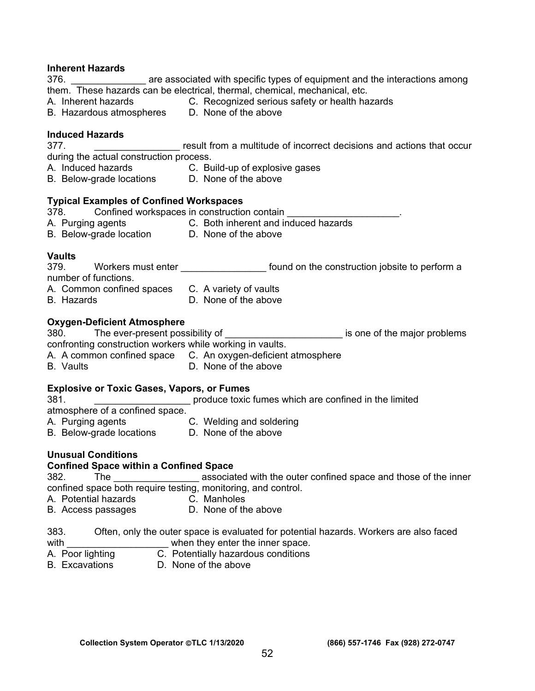# **Inherent Hazards**

are associated with specific types of equipment and the interactions among them. These hazards can be electrical, thermal, chemical, mechanical, etc.

- A. Inherent hazards C. Recognized serious safety or health hazards
- B. Hazardous atmospheres D. None of the above

#### **Induced Hazards**

377. \_\_\_\_\_\_\_\_\_\_\_\_\_\_\_\_ result from a multitude of incorrect decisions and actions that occur during the actual construction process.

- A. Induced hazards C. Build-up of explosive gases<br>B. Below-grade locations D. None of the above
- B. Below-grade locations

#### **Typical Examples of Confined Workspaces**

378. Confined workspaces in construction contain A. Purging agents C. Both inherent and induced hazards B. Below-grade location D. None of the above

#### **Vaults**

| 379. | Workers must enter   |  |  | found on the construction jobsite to perform a |
|------|----------------------|--|--|------------------------------------------------|
|      | number of functions. |  |  |                                                |
|      |                      |  |  |                                                |

- A. Common confined spaces C. A variety of vaults B. Hazards D. None of the above
	-

#### **Oxygen-Deficient Atmosphere**

380. The ever-present possibility of the major problems is one of the major problems

confronting construction workers while working in vaults.

- A. A common confined space C. An oxygen-deficient atmosphere
- B. Vaults D. None of the above

#### **Explosive or Toxic Gases, Vapors, or Fumes**

381. \_\_\_\_\_\_\_\_\_\_\_\_\_\_\_\_\_\_ produce toxic fumes which are confined in the limited

atmosphere of a confined space.

- A. Purging agents **C. Welding and soldering**<br>B. Below-grade locations **D. None of the above**
- B. Below-grade locations

# **Unusual Conditions**

# **Confined Space within a Confined Space**

382. The \_\_\_\_\_\_\_\_\_\_\_\_\_\_\_\_ associated with the outer confined space and those of the inner confined space both require testing, monitoring, and control.<br>A. Potential hazards C. Manholes

- A. Potential hazards
- B. Access passages D. None of the above

383. Often, only the outer space is evaluated for potential hazards. Workers are also faced with with when they enter the inner space.

- A. Poor lighting C. Potentially hazardous conditions
- B. Excavations D. None of the above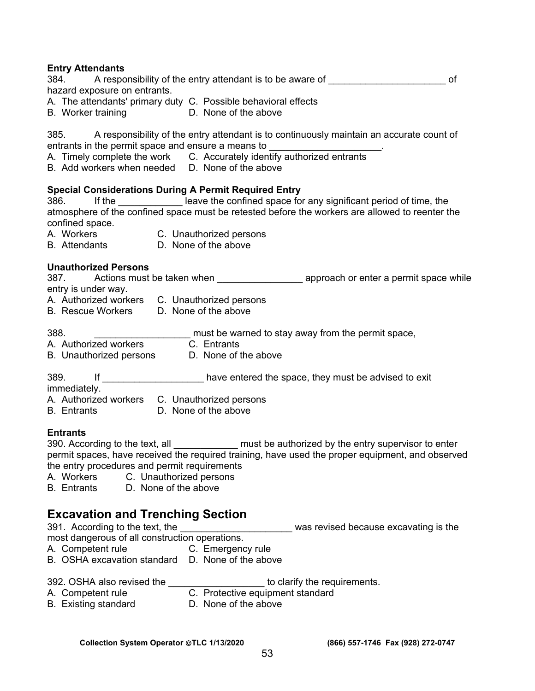**Entry Attendants**<br>384. **A respo** A responsibility of the entry attendant is to be aware of  $\overline{\phantom{a}}$  of hazard exposure on entrants.

- A. The attendants' primary duty C. Possible behavioral effects
- B. Worker training **D. None of the above**

385. A responsibility of the entry attendant is to continuously maintain an accurate count of entrants in the permit space and ensure a means to \_\_\_\_\_\_\_\_\_\_\_\_\_\_\_\_\_\_\_\_\_.

- A. Timely complete the work C. Accurately identify authorized entrants
- B. Add workers when needed D. None of the above

#### **Special Considerations During A Permit Required Entry**

386. If the state of leave the confined space for any significant period of time, the atmosphere of the confined space must be retested before the workers are allowed to reenter the confined space.

- A. Workers C. Unauthorized persons
- B. Attendants D. None of the above

#### **Unauthorized Persons**

387. Actions must be taken when example approach or enter a permit space while entry is under way.

- A. Authorized workers C. Unauthorized persons
- B. Rescue Workers D. None of the above
- 388. \_\_\_\_\_\_\_\_\_\_\_\_\_\_\_\_\_\_\_\_\_\_\_\_\_\_ must be warned to stay away from the permit space,
- 
- A. Authorized workers C. Entrants<br>B. Unauthorized persons D. None of the above B. Unauthorized persons
- 389. If **If If Example 12 have entered the space, they must be advised to exit**
- immediately.
- A. Authorized workers C. Unauthorized persons
- B. Entrants D. None of the above

#### **Entrants**

390. According to the text, all **Example 2018** must be authorized by the entry supervisor to enter permit spaces, have received the required training, have used the proper equipment, and observed the entry procedures and permit requirements

- A. Workers C. Unauthorized persons
- B. Entrants D. None of the above

# **Excavation and Trenching Section**

391. According to the text, the **Example 2014** was revised because excavating is the

most dangerous of all construction operations.

- A. Competent rule **C.** Emergency rule
- B. OSHA excavation standard D. None of the above

392. OSHA also revised the the to clarify the requirements.

- A. Competent rule **C.** Protective equipment standard
- B. Existing standard **D. None of the above**